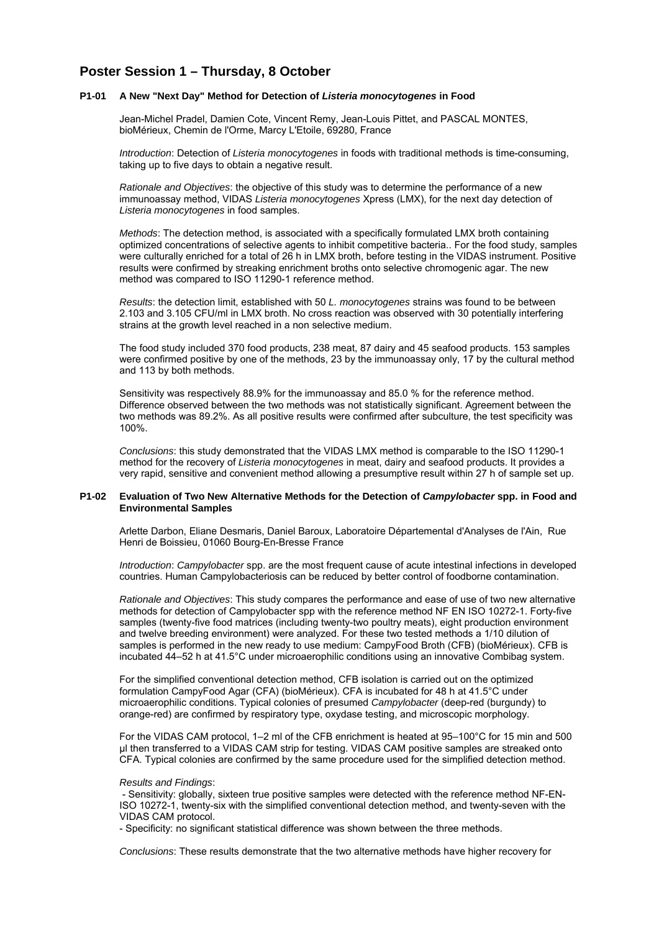# **Poster Session 1 – Thursday, 8 October**

#### **P1-01 A New "Next Day" Method for Detection of** *Listeria monocytogenes* **in Food**

Jean-Michel Pradel, Damien Cote, Vincent Remy, Jean-Louis Pittet, and PASCAL MONTES, bioMérieux, Chemin de l'Orme, Marcy L'Etoile, 69280, France

*Introduction*: Detection of *Listeria monocytogenes* in foods with traditional methods is time-consuming, taking up to five days to obtain a negative result.

*Rationale and Objectives*: the objective of this study was to determine the performance of a new immunoassay method, VIDAS *Listeria monocytogenes* Xpress (LMX), for the next day detection of *Listeria monocytogenes* in food samples.

*Methods*: The detection method, is associated with a specifically formulated LMX broth containing optimized concentrations of selective agents to inhibit competitive bacteria.. For the food study, samples were culturally enriched for a total of 26 h in LMX broth, before testing in the VIDAS instrument. Positive results were confirmed by streaking enrichment broths onto selective chromogenic agar. The new method was compared to ISO 11290-1 reference method.

*Results*: the detection limit, established with 50 *L. monocytogenes* strains was found to be between 2.103 and 3.105 CFU/ml in LMX broth. No cross reaction was observed with 30 potentially interfering strains at the growth level reached in a non selective medium.

The food study included 370 food products, 238 meat, 87 dairy and 45 seafood products. 153 samples were confirmed positive by one of the methods, 23 by the immunoassay only, 17 by the cultural method and 113 by both methods.

Sensitivity was respectively 88.9% for the immunoassay and 85.0 % for the reference method. Difference observed between the two methods was not statistically significant. Agreement between the two methods was 89.2%. As all positive results were confirmed after subculture, the test specificity was 100%.

*Conclusions*: this study demonstrated that the VIDAS LMX method is comparable to the ISO 11290-1 method for the recovery of *Listeria monocytogenes* in meat, dairy and seafood products. It provides a very rapid, sensitive and convenient method allowing a presumptive result within 27 h of sample set up.

#### **P1-02 Evaluation of Two New Alternative Methods for the Detection of** *Campylobacter* **spp. in Food and Environmental Samples**

Arlette Darbon, Eliane Desmaris, Daniel Baroux, Laboratoire Départemental d'Analyses de l'Ain, Rue Henri de Boissieu, 01060 Bourg-En-Bresse France

*Introduction: Campylobacter* spp. are the most frequent cause of acute intestinal infections in developed countries. Human Campylobacteriosis can be reduced by better control of foodborne contamination.

*Rationale and Objectives*: This study compares the performance and ease of use of two new alternative methods for detection of Campylobacter spp with the reference method NF EN ISO 10272-1. Forty-five samples (twenty-five food matrices (including twenty-two poultry meats), eight production environment and twelve breeding environment) were analyzed. For these two tested methods a 1/10 dilution of samples is performed in the new ready to use medium: CampyFood Broth (CFB) (bioMérieux). CFB is incubated 44–52 h at 41.5°C under microaerophilic conditions using an innovative Combibag system.

For the simplified conventional detection method, CFB isolation is carried out on the optimized formulation CampyFood Agar (CFA) (bioMérieux). CFA is incubated for 48 h at 41.5°C under microaerophilic conditions. Typical colonies of presumed *Campylobacter* (deep-red (burgundy) to orange-red) are confirmed by respiratory type, oxydase testing, and microscopic morphology.

For the VIDAS CAM protocol, 1–2 ml of the CFB enrichment is heated at 95–100°C for 15 min and 500 µl then transferred to a VIDAS CAM strip for testing. VIDAS CAM positive samples are streaked onto CFA. Typical colonies are confirmed by the same procedure used for the simplified detection method.

#### *Results and Findings*:

 - Sensitivity: globally, sixteen true positive samples were detected with the reference method NF-EN-ISO 10272-1, twenty-six with the simplified conventional detection method, and twenty-seven with the VIDAS CAM protocol.

- Specificity: no significant statistical difference was shown between the three methods.

*Conclusions*: These results demonstrate that the two alternative methods have higher recovery for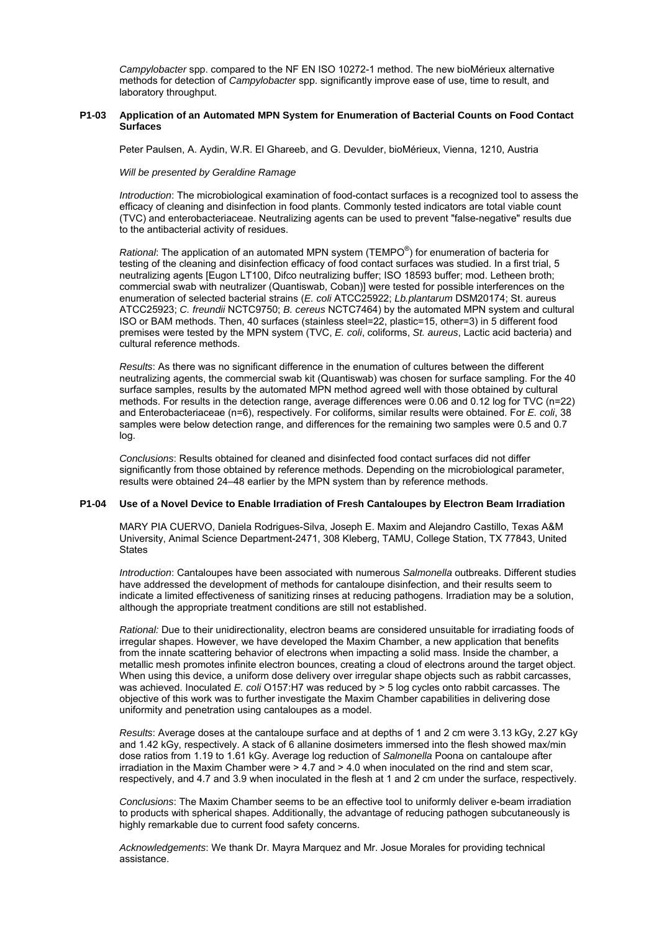*Campylobacter* spp. compared to the NF EN ISO 10272-1 method. The new bioMérieux alternative methods for detection of *Campylobacter* spp. significantly improve ease of use, time to result, and laboratory throughput.

# **P1-03 Application of an Automated MPN System for Enumeration of Bacterial Counts on Food Contact Surfaces**

Peter Paulsen, A. Aydin, W.R. El Ghareeb, and G. Devulder, bioMérieux, Vienna, 1210, Austria

#### *Will be presented by Geraldine Ramage*

*Introduction*: The microbiological examination of food-contact surfaces is a recognized tool to assess the efficacy of cleaning and disinfection in food plants. Commonly tested indicators are total viable count (TVC) and enterobacteriaceae. Neutralizing agents can be used to prevent "false-negative" results due to the antibacterial activity of residues.

*Rational*: The application of an automated MPN system (TEMPO® ) for enumeration of bacteria for testing of the cleaning and disinfection efficacy of food contact surfaces was studied. In a first trial, 5 neutralizing agents [Eugon LT100, Difco neutralizing buffer; ISO 18593 buffer; mod. Letheen broth; commercial swab with neutralizer (Quantiswab, Coban)] were tested for possible interferences on the enumeration of selected bacterial strains (*E. coli* ATCC25922; *Lb.plantarum* DSM20174; St. aureus ATCC25923; *C. freundii* NCTC9750; *B. cereus* NCTC7464) by the automated MPN system and cultural ISO or BAM methods. Then, 40 surfaces (stainless steel=22, plastic=15, other=3) in 5 different food premises were tested by the MPN system (TVC, *E. coli*, coliforms, *St. aureus*, Lactic acid bacteria) and cultural reference methods.

*Results*: As there was no significant difference in the enumation of cultures between the different neutralizing agents, the commercial swab kit (Quantiswab) was chosen for surface sampling. For the 40 surface samples, results by the automated MPN method agreed well with those obtained by cultural methods. For results in the detection range, average differences were 0.06 and 0.12 log for TVC (n=22) and Enterobacteriaceae (n=6), respectively. For coliforms, similar results were obtained. For *E. coli*, 38 samples were below detection range, and differences for the remaining two samples were 0.5 and 0.7 log.

*Conclusions*: Results obtained for cleaned and disinfected food contact surfaces did not differ significantly from those obtained by reference methods. Depending on the microbiological parameter, results were obtained 24–48 earlier by the MPN system than by reference methods.

# **P1-04 Use of a Novel Device to Enable Irradiation of Fresh Cantaloupes by Electron Beam Irradiation**

MARY PIA CUERVO, Daniela Rodrigues-Silva, Joseph E. Maxim and Alejandro Castillo, Texas A&M University, Animal Science Department-2471, 308 Kleberg, TAMU, College Station, TX 77843, United **States** 

*Introduction*: Cantaloupes have been associated with numerous *Salmonella* outbreaks. Different studies have addressed the development of methods for cantaloupe disinfection, and their results seem to indicate a limited effectiveness of sanitizing rinses at reducing pathogens. Irradiation may be a solution, although the appropriate treatment conditions are still not established.

*Rational:* Due to their unidirectionality, electron beams are considered unsuitable for irradiating foods of irregular shapes. However, we have developed the Maxim Chamber, a new application that benefits from the innate scattering behavior of electrons when impacting a solid mass. Inside the chamber, a metallic mesh promotes infinite electron bounces, creating a cloud of electrons around the target object. When using this device, a uniform dose delivery over irregular shape objects such as rabbit carcasses, was achieved. Inoculated *E. coli* O157:H7 was reduced by > 5 log cycles onto rabbit carcasses. The objective of this work was to further investigate the Maxim Chamber capabilities in delivering dose uniformity and penetration using cantaloupes as a model.

*Results*: Average doses at the cantaloupe surface and at depths of 1 and 2 cm were 3.13 kGy, 2.27 kGy and 1.42 kGy, respectively. A stack of 6 allanine dosimeters immersed into the flesh showed max/min dose ratios from 1.19 to 1.61 kGy. Average log reduction of *Salmonella* Poona on cantaloupe after irradiation in the Maxim Chamber were > 4.7 and > 4.0 when inoculated on the rind and stem scar, respectively, and 4.7 and 3.9 when inoculated in the flesh at 1 and 2 cm under the surface, respectively.

*Conclusions*: The Maxim Chamber seems to be an effective tool to uniformly deliver e-beam irradiation to products with spherical shapes. Additionally, the advantage of reducing pathogen subcutaneously is highly remarkable due to current food safety concerns.

*Acknowledgements*: We thank Dr. Mayra Marquez and Mr. Josue Morales for providing technical assistance.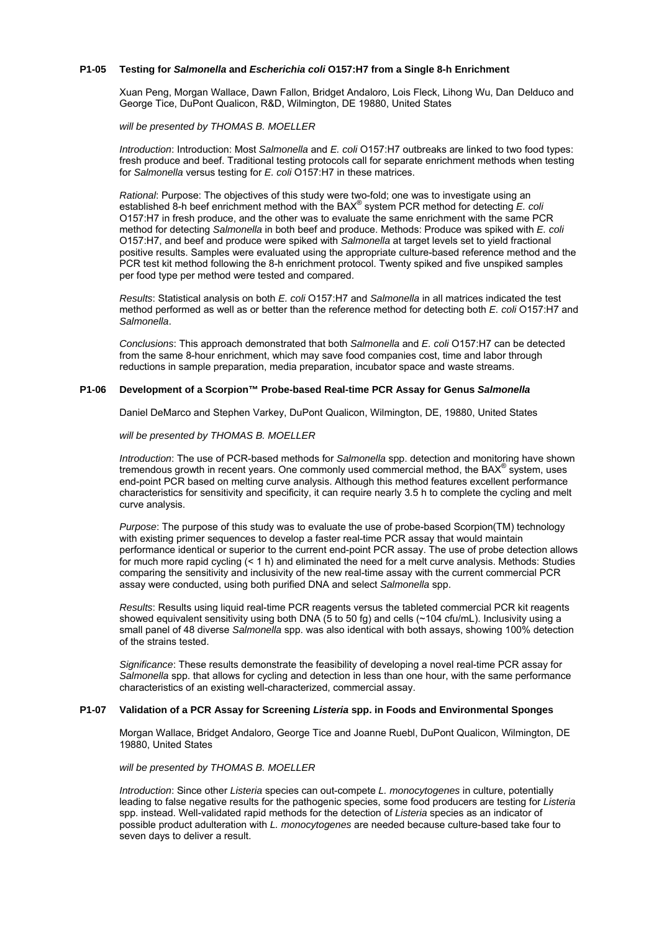## **P1-05 Testing for** *Salmonella* **and** *Escherichia coli* **O157:H7 from a Single 8-h Enrichment**

Xuan Peng, Morgan Wallace, Dawn Fallon, Bridget Andaloro, Lois Fleck, Lihong Wu, Dan Delduco and George Tice, DuPont Qualicon, R&D, Wilmington, DE 19880, United States

*will be presented by THOMAS B. MOELLER*

*Introduction*: Introduction: Most *Salmonella* and *E. coli* O157:H7 outbreaks are linked to two food types: fresh produce and beef. Traditional testing protocols call for separate enrichment methods when testing for *Salmonella* versus testing for *E. coli* O157:H7 in these matrices.

*Rational*: Purpose: The objectives of this study were two-fold; one was to investigate using an established 8-h beef enrichment method with the BAX<sup>®</sup> system PCR method for detecting E. col. O157:H7 in fresh produce, and the other was to evaluate the same enrichment with the same PCR method for detecting *Salmonella* in both beef and produce. Methods: Produce was spiked with *E. coli* O157:H7, and beef and produce were spiked with *Salmonella* at target levels set to yield fractional positive results. Samples were evaluated using the appropriate culture-based reference method and the PCR test kit method following the 8-h enrichment protocol. Twenty spiked and five unspiked samples per food type per method were tested and compared.

*Results*: Statistical analysis on both *E. coli* O157:H7 and *Salmonella* in all matrices indicated the test method performed as well as or better than the reference method for detecting both *E. coli* O157:H7 and *Salmonella*.

*Conclusions*: This approach demonstrated that both *Salmonella* and *E. coli* O157:H7 can be detected from the same 8-hour enrichment, which may save food companies cost, time and labor through reductions in sample preparation, media preparation, incubator space and waste streams.

#### **P1-06 Development of a Scorpion™ Probe-based Real-time PCR Assay for Genus** *Salmonella*

Daniel DeMarco and Stephen Varkey, DuPont Qualicon, Wilmington, DE, 19880, United States

# *will be presented by THOMAS B. MOELLER*

*Introduction*: The use of PCR-based methods for *Salmonella* spp. detection and monitoring have shown tremendous growth in recent years. One commonly used commercial method, the BAX<sup>®</sup> system, uses end-point PCR based on melting curve analysis. Although this method features excellent performance characteristics for sensitivity and specificity, it can require nearly 3.5 h to complete the cycling and melt curve analysis.

*Purpose*: The purpose of this study was to evaluate the use of probe-based Scorpion(TM) technology with existing primer sequences to develop a faster real-time PCR assay that would maintain performance identical or superior to the current end-point PCR assay. The use of probe detection allows for much more rapid cycling (< 1 h) and eliminated the need for a melt curve analysis. Methods: Studies comparing the sensitivity and inclusivity of the new real-time assay with the current commercial PCR assay were conducted, using both purified DNA and select *Salmonella* spp.

*Results*: Results using liquid real-time PCR reagents versus the tableted commercial PCR kit reagents showed equivalent sensitivity using both DNA (5 to 50 fg) and cells (~104 cfu/mL). Inclusivity using a small panel of 48 diverse *Salmonella* spp. was also identical with both assays, showing 100% detection of the strains tested.

*Significance*: These results demonstrate the feasibility of developing a novel real-time PCR assay for *Salmonella* spp. that allows for cycling and detection in less than one hour, with the same performance characteristics of an existing well-characterized, commercial assay.

#### **P1-07 Validation of a PCR Assay for Screening** *Listeria* **spp. in Foods and Environmental Sponges**

Morgan Wallace, Bridget Andaloro, George Tice and Joanne Ruebl, DuPont Qualicon, Wilmington, DE 19880, United States

## *will be presented by THOMAS B. MOELLER*

*Introduction*: Since other *Listeria* species can out-compete *L. monocytogenes* in culture, potentially leading to false negative results for the pathogenic species, some food producers are testing for *Listeria* spp. instead. Well-validated rapid methods for the detection of *Listeria* species as an indicator of possible product adulteration with *L. monocytogenes* are needed because culture-based take four to seven days to deliver a result.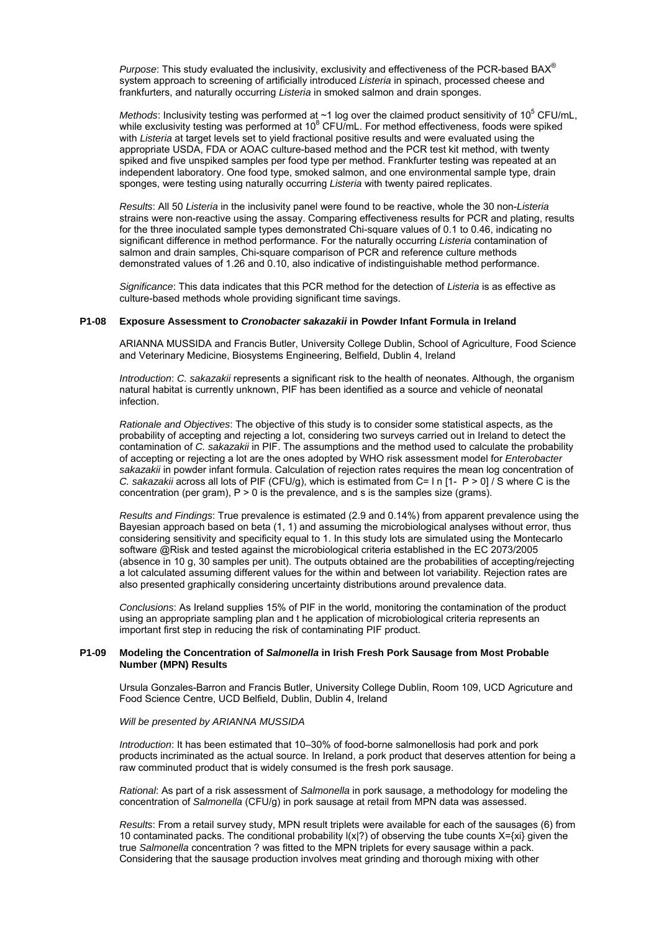*Purpose*: This study evaluated the inclusivity, exclusivity and effectiveness of the PCR-based BAX® system approach to screening of artificially introduced *Listeria* in spinach, processed cheese and frankfurters, and naturally occurring *Listeria* in smoked salmon and drain sponges.

Methods: Inclusivity testing was performed at  $\sim$ 1 log over the claimed product sensitivity of 10<sup>5</sup> CFU/mL, while exclusivity testing was performed at 10<sup>8</sup> CFU/mL. For method effectiveness, foods were spiked with *Listeria* at target levels set to yield fractional positive results and were evaluated using the appropriate USDA, FDA or AOAC culture-based method and the PCR test kit method, with twenty spiked and five unspiked samples per food type per method. Frankfurter testing was repeated at an independent laboratory. One food type, smoked salmon, and one environmental sample type, drain sponges, were testing using naturally occurring *Listeria* with twenty paired replicates.

*Results*: All 50 *Listeria* in the inclusivity panel were found to be reactive, whole the 30 non-*Listeria* strains were non-reactive using the assay. Comparing effectiveness results for PCR and plating, results for the three inoculated sample types demonstrated Chi-square values of 0.1 to 0.46, indicating no significant difference in method performance. For the naturally occurring *Listeria* contamination of salmon and drain samples, Chi-square comparison of PCR and reference culture methods demonstrated values of 1.26 and 0.10, also indicative of indistinguishable method performance.

*Significance*: This data indicates that this PCR method for the detection of *Listeria* is as effective as culture-based methods whole providing significant time savings.

#### **P1-08 Exposure Assessment to** *Cronobacter sakazakii* **in Powder Infant Formula in Ireland**

ARIANNA MUSSIDA and Francis Butler, University College Dublin, School of Agriculture, Food Science and Veterinary Medicine, Biosystems Engineering, Belfield, Dublin 4, Ireland

*Introduction*: *C. sakazakii* represents a significant risk to the health of neonates. Although, the organism natural habitat is currently unknown, PIF has been identified as a source and vehicle of neonatal infection.

*Rationale and Objectives*: The objective of this study is to consider some statistical aspects, as the probability of accepting and rejecting a lot, considering two surveys carried out in Ireland to detect the contamination of *C. sakazakii* in PIF. The assumptions and the method used to calculate the probability of accepting or rejecting a lot are the ones adopted by WHO risk assessment model for *Enterobacter sakazakii* in powder infant formula. Calculation of rejection rates requires the mean log concentration of *C. sakazakii* across all lots of PIF (CFU/g), which is estimated from C= l n [1- P > 0] / S where C is the concentration (per gram),  $P > 0$  is the prevalence, and s is the samples size (grams).

*Results and Findings*: True prevalence is estimated (2.9 and 0.14%) from apparent prevalence using the Bayesian approach based on beta (1, 1) and assuming the microbiological analyses without error, thus considering sensitivity and specificity equal to 1. In this study lots are simulated using the Montecarlo software @Risk and tested against the microbiological criteria established in the EC 2073/2005 (absence in 10 g, 30 samples per unit). The outputs obtained are the probabilities of accepting/rejecting a lot calculated assuming different values for the within and between lot variability. Rejection rates are also presented graphically considering uncertainty distributions around prevalence data.

*Conclusions*: As Ireland supplies 15% of PIF in the world, monitoring the contamination of the product using an appropriate sampling plan and t he application of microbiological criteria represents an important first step in reducing the risk of contaminating PIF product.

## **P1-09 Modeling the Concentration of** *Salmonella* **in Irish Fresh Pork Sausage from Most Probable Number (MPN) Results**

Ursula Gonzales-Barron and Francis Butler, University College Dublin, Room 109, UCD Agricuture and Food Science Centre, UCD Belfield, Dublin, Dublin 4, Ireland

## *Will be presented by ARIANNA MUSSIDA*

*Introduction*: It has been estimated that 10–30% of food-borne salmonellosis had pork and pork products incriminated as the actual source. In Ireland, a pork product that deserves attention for being a raw comminuted product that is widely consumed is the fresh pork sausage.

*Rational*: As part of a risk assessment of *Salmonella* in pork sausage, a methodology for modeling the concentration of *Salmonella* (CFU/g) in pork sausage at retail from MPN data was assessed.

*Results*: From a retail survey study, MPN result triplets were available for each of the sausages (6) from 10 contaminated packs. The conditional probability l(x|?) of observing the tube counts X={xi} given the true *Salmonella* concentration ? was fitted to the MPN triplets for every sausage within a pack. Considering that the sausage production involves meat grinding and thorough mixing with other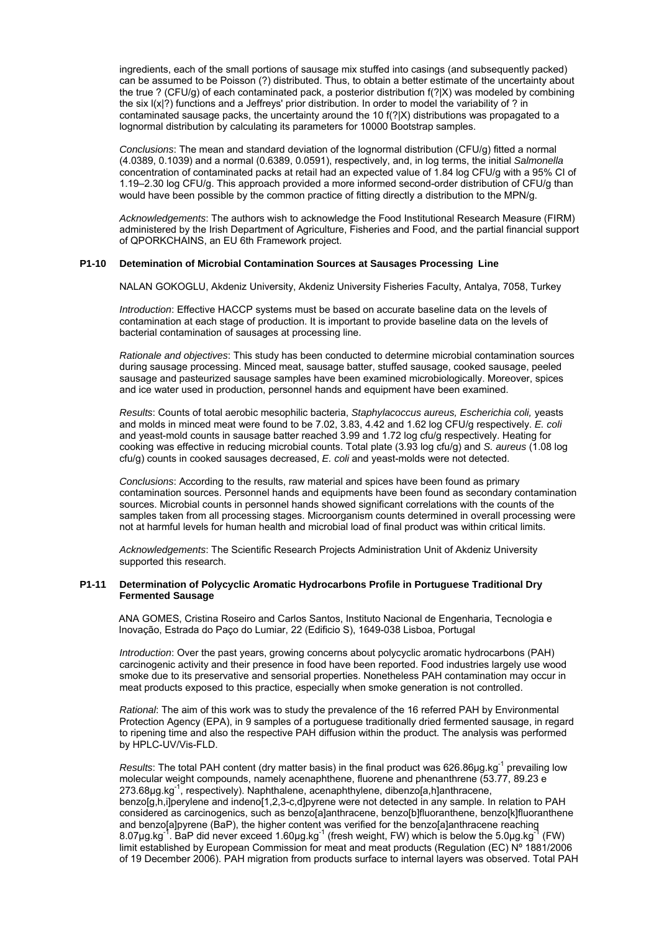ingredients, each of the small portions of sausage mix stuffed into casings (and subsequently packed) can be assumed to be Poisson (?) distributed. Thus, to obtain a better estimate of the uncertainty about the true ? (CFU/g) of each contaminated pack, a posterior distribution f(?|X) was modeled by combining the six l(x|?) functions and a Jeffreys' prior distribution. In order to model the variability of ? in contaminated sausage packs, the uncertainty around the 10 f(?|X) distributions was propagated to a lognormal distribution by calculating its parameters for 10000 Bootstrap samples.

*Conclusions*: The mean and standard deviation of the lognormal distribution (CFU/g) fitted a normal (4.0389, 0.1039) and a normal (0.6389, 0.0591), respectively, and, in log terms, the initial *Salmonella* concentration of contaminated packs at retail had an expected value of 1.84 log CFU/g with a 95% CI of 1.19–2.30 log CFU/g. This approach provided a more informed second-order distribution of CFU/g than would have been possible by the common practice of fitting directly a distribution to the MPN/g.

*Acknowledgements*: The authors wish to acknowledge the Food Institutional Research Measure (FIRM) administered by the Irish Department of Agriculture, Fisheries and Food, and the partial financial support of QPORKCHAINS, an EU 6th Framework project.

#### **P1-10 Detemination of Microbial Contamination Sources at Sausages Processing Line**

NALAN GOKOGLU, Akdeniz University, Akdeniz University Fisheries Faculty, Antalya, 7058, Turkey

*Introduction*: Effective HACCP systems must be based on accurate baseline data on the levels of contamination at each stage of production. It is important to provide baseline data on the levels of bacterial contamination of sausages at processing line.

*Rationale and objectives*: This study has been conducted to determine microbial contamination sources during sausage processing. Minced meat, sausage batter, stuffed sausage, cooked sausage, peeled sausage and pasteurized sausage samples have been examined microbiologically. Moreover, spices and ice water used in production, personnel hands and equipment have been examined.

*Results*: Counts of total aerobic mesophilic bacteria, *Staphylacoccus aureus, Escherichia coli,* yeasts and molds in minced meat were found to be 7.02, 3.83, 4.42 and 1.62 log CFU/g respectively. *E. coli* and yeast-mold counts in sausage batter reached 3.99 and 1.72 log cfu/g respectively. Heating for cooking was effective in reducing microbial counts. Total plate (3.93 log cfu/g) and *S. aureus* (1.08 log cfu/g) counts in cooked sausages decreased, *E. coli* and yeast-molds were not detected.

*Conclusions*: According to the results, raw material and spices have been found as primary contamination sources. Personnel hands and equipments have been found as secondary contamination sources. Microbial counts in personnel hands showed significant correlations with the counts of the samples taken from all processing stages. Microorganism counts determined in overall processing were not at harmful levels for human health and microbial load of final product was within critical limits.

*Acknowledgements*: The Scientific Research Projects Administration Unit of Akdeniz University supported this research.

#### **P1-11 Determination of Polycyclic Aromatic Hydrocarbons Profile in Portuguese Traditional Dry Fermented Sausage**

ANA GOMES, Cristina Roseiro and Carlos Santos, Instituto Nacional de Engenharia, Tecnologia e Inovação, Estrada do Paço do Lumiar, 22 (Edificio S), 1649-038 Lisboa, Portugal

*Introduction*: Over the past years, growing concerns about polycyclic aromatic hydrocarbons (PAH) carcinogenic activity and their presence in food have been reported. Food industries largely use wood smoke due to its preservative and sensorial properties. Nonetheless PAH contamination may occur in meat products exposed to this practice, especially when smoke generation is not controlled.

*Rational*: The aim of this work was to study the prevalence of the 16 referred PAH by Environmental Protection Agency (EPA), in 9 samples of a portuguese traditionally dried fermented sausage, in regard to ripening time and also the respective PAH diffusion within the product. The analysis was performed by HPLC-UV/Vis-FLD.

*Results*: The total PAH content (dry matter basis) in the final product was 626.86µg.kg<sup>-1</sup> prevailing low molecular weight compounds, namely acenaphthene, fluorene and phenanthrene (53.77, 89.23 e 273.68μg.kg-1, respectively). Naphthalene, acenaphthylene, dibenzo[a,h]anthracene, benzo[g,h,i]perylene and indeno[1,2,3-c,d]pyrene were not detected in any sample. In relation to PAH considered as carcinogenics, such as benzo[a]anthracene, benzo[b]fluoranthene, benzo[k]fluoranthene and benzo[a]pyrene (BaP), the higher content was verified for the benzo[a]anthracene reaching 8.07μg.kg<sup>-1</sup>. BaP did never exceed 1.60μg.kg<sup>-1</sup> (fresh weight, FW) which is below the 5.0μg.kg<sup>-1</sup> limit established by European Commission for meat and meat products (Regulation (EC) Nº 1881/2006 of 19 December 2006). PAH migration from products surface to internal layers was observed. Total PAH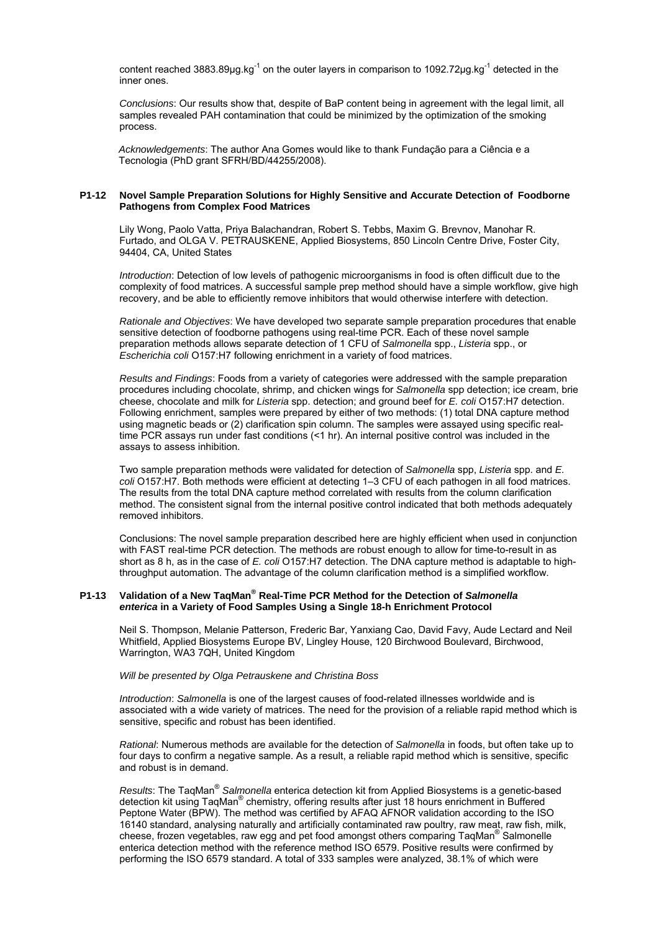content reached 3883.89 $\mu$ g.kg<sup>-1</sup> on the outer layers in comparison to 1092.72 $\mu$ g.kg<sup>-1</sup> detected in the inner ones.

*Conclusions*: Our results show that, despite of BaP content being in agreement with the legal limit, all samples revealed PAH contamination that could be minimized by the optimization of the smoking process.

*Acknowledgements*: The author Ana Gomes would like to thank Fundação para a Ciência e a Tecnologia (PhD grant SFRH/BD/44255/2008).

#### **P1-12 Novel Sample Preparation Solutions for Highly Sensitive and Accurate Detection of Foodborne Pathogens from Complex Food Matrices**

Lily Wong, Paolo Vatta, Priya Balachandran, Robert S. Tebbs, Maxim G. Brevnov, Manohar R. Furtado, and OLGA V. PETRAUSKENE, Applied Biosystems, 850 Lincoln Centre Drive, Foster City, 94404, CA, United States

*Introduction*: Detection of low levels of pathogenic microorganisms in food is often difficult due to the complexity of food matrices. A successful sample prep method should have a simple workflow, give high recovery, and be able to efficiently remove inhibitors that would otherwise interfere with detection.

*Rationale and Objectives*: We have developed two separate sample preparation procedures that enable sensitive detection of foodborne pathogens using real-time PCR. Each of these novel sample preparation methods allows separate detection of 1 CFU of *Salmonella* spp., *Listeria* spp., or *Escherichia coli* O157:H7 following enrichment in a variety of food matrices.

*Results and Findings*: Foods from a variety of categories were addressed with the sample preparation procedures including chocolate, shrimp, and chicken wings for *Salmonella* spp detection; ice cream, brie cheese, chocolate and milk for *Listeria* spp. detection; and ground beef for *E. coli* O157:H7 detection. Following enrichment, samples were prepared by either of two methods: (1) total DNA capture method using magnetic beads or (2) clarification spin column. The samples were assayed using specific realtime PCR assays run under fast conditions (<1 hr). An internal positive control was included in the assays to assess inhibition.

Two sample preparation methods were validated for detection of *Salmonella* spp, *Listeria* spp. and *E. coli* O157:H7. Both methods were efficient at detecting 1–3 CFU of each pathogen in all food matrices. The results from the total DNA capture method correlated with results from the column clarification method. The consistent signal from the internal positive control indicated that both methods adequately removed inhibitors.

Conclusions: The novel sample preparation described here are highly efficient when used in conjunction with FAST real-time PCR detection. The methods are robust enough to allow for time-to-result in as short as 8 h, as in the case of *E. coli* O157:H7 detection. The DNA capture method is adaptable to highthroughput automation. The advantage of the column clarification method is a simplified workflow.

# P1-13 Validation of a New TaqMan<sup>®</sup> Real-Time PCR Method for the Detection of Salmonella  *enterica* **in a Variety of Food Samples Using a Single 18-h Enrichment Protocol**

Neil S. Thompson, Melanie Patterson, Frederic Bar, Yanxiang Cao, David Favy, Aude Lectard and Neil Whitfield, Applied Biosystems Europe BV, Lingley House, 120 Birchwood Boulevard, Birchwood, Warrington, WA3 7QH, United Kingdom

#### *Will be presented by Olga Petrauskene and Christina Boss*

*Introduction*: *Salmonella* is one of the largest causes of food-related illnesses worldwide and is associated with a wide variety of matrices. The need for the provision of a reliable rapid method which is sensitive, specific and robust has been identified.

*Rational*: Numerous methods are available for the detection of *Salmonella* in foods, but often take up to four days to confirm a negative sample. As a result, a reliable rapid method which is sensitive, specific and robust is in demand.

*Results*: The TaqMan® *Salmonella* enterica detection kit from Applied Biosystems is a genetic-based detection kit using TaqMan<sup>®</sup> chemistry, offering results after just 18 hours enrichment in Buffered Peptone Water (BPW). The method was certified by AFAQ AFNOR validation according to the ISO 16140 standard, analysing naturally and artificially contaminated raw poultry, raw meat, raw fish, milk, cheese, frozen vegetables, raw egg and pet food amongst others comparing TaqMan® Salmonelle enterica detection method with the reference method ISO 6579. Positive results were confirmed by performing the ISO 6579 standard. A total of 333 samples were analyzed, 38.1% of which were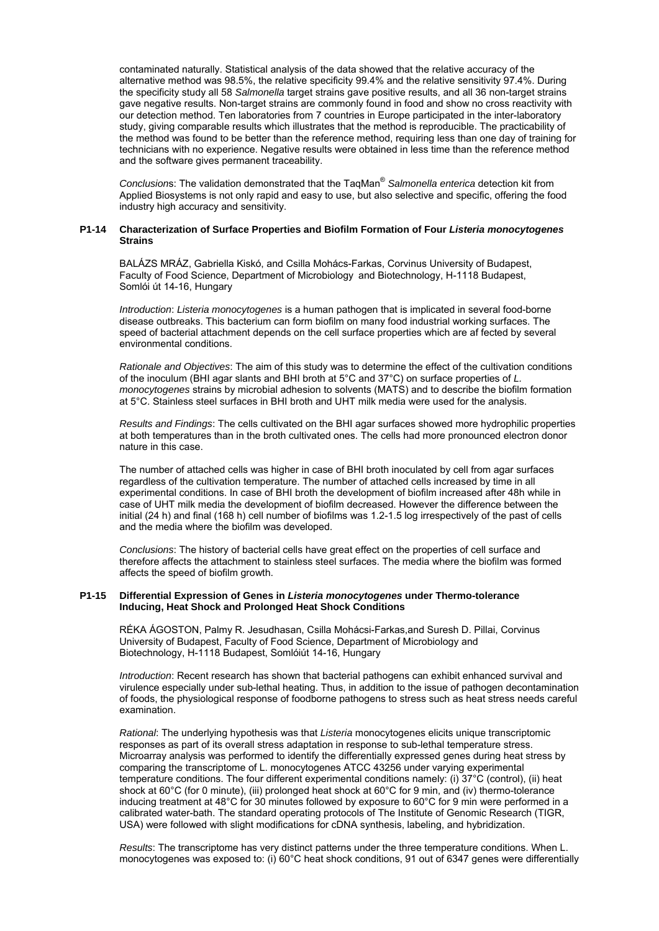contaminated naturally. Statistical analysis of the data showed that the relative accuracy of the alternative method was 98.5%, the relative specificity 99.4% and the relative sensitivity 97.4%. During the specificity study all 58 *Salmonella* target strains gave positive results, and all 36 non-target strains gave negative results. Non-target strains are commonly found in food and show no cross reactivity with our detection method. Ten laboratories from 7 countries in Europe participated in the inter-laboratory study, giving comparable results which illustrates that the method is reproducible. The practicability of the method was found to be better than the reference method, requiring less than one day of training for technicians with no experience. Negative results were obtained in less time than the reference method and the software gives permanent traceability.

*Conclusion*s: The validation demonstrated that the TaqMan® *Salmonella enterica* detection kit from Applied Biosystems is not only rapid and easy to use, but also selective and specific, offering the food industry high accuracy and sensitivity.

#### **P1-14 Characterization of Surface Properties and Biofilm Formation of Four** *Listeria monocytogenes*  **Strains**

 BALÁZS MRÁZ, Gabriella Kiskó, and Csilla Mohács-Farkas, Corvinus University of Budapest, Faculty of Food Science, Department of Microbiology and Biotechnology, H-1118 Budapest, Somlói út 14-16, Hungary

*Introduction*: *Listeria monocytogenes* is a human pathogen that is implicated in several food-borne disease outbreaks. This bacterium can form biofilm on many food industrial working surfaces. The speed of bacterial attachment depends on the cell surface properties which are af fected by several environmental conditions.

*Rationale and Objectives*: The aim of this study was to determine the effect of the cultivation conditions of the inoculum (BHI agar slants and BHI broth at 5°C and 37°C) on surface properties of *L. monocytogenes* strains by microbial adhesion to solvents (MATS) and to describe the biofilm formation at 5°C. Stainless steel surfaces in BHI broth and UHT milk media were used for the analysis.

*Results and Findings*: The cells cultivated on the BHI agar surfaces showed more hydrophilic properties at both temperatures than in the broth cultivated ones. The cells had more pronounced electron donor nature in this case.

The number of attached cells was higher in case of BHI broth inoculated by cell from agar surfaces regardless of the cultivation temperature. The number of attached cells increased by time in all experimental conditions. In case of BHI broth the development of biofilm increased after 48h while in case of UHT milk media the development of biofilm decreased. However the difference between the initial (24 h) and final (168 h) cell number of biofilms was 1.2-1.5 log irrespectively of the past of cells and the media where the biofilm was developed.

*Conclusions*: The history of bacterial cells have great effect on the properties of cell surface and therefore affects the attachment to stainless steel surfaces. The media where the biofilm was formed affects the speed of biofilm growth.

#### **P1-15 Differential Expression of Genes in** *Listeria monocytogenes* **under Thermo-tolerance Inducing, Heat Shock and Prolonged Heat Shock Conditions**

RÉKA ÁGOSTON, Palmy R. Jesudhasan, Csilla Mohácsi-Farkas,and Suresh D. Pillai, Corvinus University of Budapest, Faculty of Food Science, Department of Microbiology and Biotechnology, H-1118 Budapest, Somlóiút 14-16, Hungary

*Introduction*: Recent research has shown that bacterial pathogens can exhibit enhanced survival and virulence especially under sub-lethal heating. Thus, in addition to the issue of pathogen decontamination of foods, the physiological response of foodborne pathogens to stress such as heat stress needs careful examination.

*Rational*: The underlying hypothesis was that *Listeria* monocytogenes elicits unique transcriptomic responses as part of its overall stress adaptation in response to sub-lethal temperature stress. Microarray analysis was performed to identify the differentially expressed genes during heat stress by comparing the transcriptome of L. monocytogenes ATCC 43256 under varying experimental temperature conditions. The four different experimental conditions namely: (i) 37°C (control), (ii) heat shock at 60°C (for 0 minute), (iii) prolonged heat shock at 60°C for 9 min, and (iv) thermo-tolerance inducing treatment at 48°C for 30 minutes followed by exposure to 60°C for 9 min were performed in a calibrated water-bath. The standard operating protocols of The Institute of Genomic Research (TIGR, USA) were followed with slight modifications for cDNA synthesis, labeling, and hybridization.

*Results*: The transcriptome has very distinct patterns under the three temperature conditions. When L. monocytogenes was exposed to: (i) 60°C heat shock conditions, 91 out of 6347 genes were differentially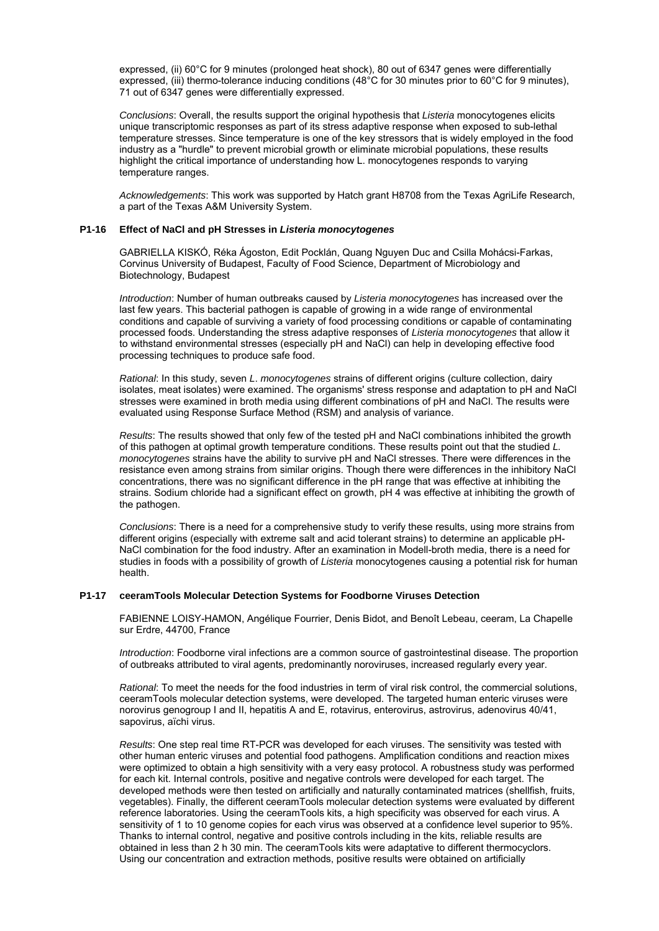expressed, (ii) 60°C for 9 minutes (prolonged heat shock), 80 out of 6347 genes were differentially expressed, (iii) thermo-tolerance inducing conditions (48°C for 30 minutes prior to 60°C for 9 minutes), 71 out of 6347 genes were differentially expressed.

*Conclusions*: Overall, the results support the original hypothesis that *Listeria* monocytogenes elicits unique transcriptomic responses as part of its stress adaptive response when exposed to sub-lethal temperature stresses. Since temperature is one of the key stressors that is widely employed in the food industry as a "hurdle" to prevent microbial growth or eliminate microbial populations, these results highlight the critical importance of understanding how L. monocytogenes responds to varying temperature ranges.

*Acknowledgements*: This work was supported by Hatch grant H8708 from the Texas AgriLife Research, a part of the Texas A&M University System.

#### **P1-16 Effect of NaCl and pH Stresses in** *Listeria monocytogenes*

GABRIELLA KISKÓ, Réka Ágoston, Edit Pocklán, Quang Nguyen Duc and Csilla Mohácsi-Farkas, Corvinus University of Budapest, Faculty of Food Science, Department of Microbiology and Biotechnology, Budapest

*Introduction*: Number of human outbreaks caused by *Listeria monocytogenes* has increased over the last few years. This bacterial pathogen is capable of growing in a wide range of environmental conditions and capable of surviving a variety of food processing conditions or capable of contaminating processed foods. Understanding the stress adaptive responses of *Listeria monocytogenes* that allow it to withstand environmental stresses (especially pH and NaCl) can help in developing effective food processing techniques to produce safe food.

*Rational*: In this study, seven *L*. *monocytogenes* strains of different origins (culture collection, dairy isolates, meat isolates) were examined. The organisms' stress response and adaptation to pH and NaCl stresses were examined in broth media using different combinations of pH and NaCl. The results were evaluated using Response Surface Method (RSM) and analysis of variance.

*Results*: The results showed that only few of the tested pH and NaCl combinations inhibited the growth of this pathogen at optimal growth temperature conditions. These results point out that the studied *L. monocytogenes* strains have the ability to survive pH and NaCl stresses. There were differences in the resistance even among strains from similar origins. Though there were differences in the inhibitory NaCl concentrations, there was no significant difference in the pH range that was effective at inhibiting the strains. Sodium chloride had a significant effect on growth, pH 4 was effective at inhibiting the growth of the pathogen.

*Conclusions*: There is a need for a comprehensive study to verify these results, using more strains from different origins (especially with extreme salt and acid tolerant strains) to determine an applicable pH-NaCl combination for the food industry. After an examination in Modell-broth media, there is a need for studies in foods with a possibility of growth of *Listeria* monocytogenes causing a potential risk for human health.

#### **P1-17 ceeramTools Molecular Detection Systems for Foodborne Viruses Detection**

FABIENNE LOISY-HAMON, Angélique Fourrier, Denis Bidot, and Benoît Lebeau, ceeram, La Chapelle sur Erdre, 44700, France

*Introduction*: Foodborne viral infections are a common source of gastrointestinal disease. The proportion of outbreaks attributed to viral agents, predominantly noroviruses, increased regularly every year.

*Rational*: To meet the needs for the food industries in term of viral risk control, the commercial solutions, ceeramTools molecular detection systems, were developed. The targeted human enteric viruses were norovirus genogroup I and II, hepatitis A and E, rotavirus, enterovirus, astrovirus, adenovirus 40/41, sapovirus, aïchi virus.

*Results*: One step real time RT-PCR was developed for each viruses. The sensitivity was tested with other human enteric viruses and potential food pathogens. Amplification conditions and reaction mixes were optimized to obtain a high sensitivity with a very easy protocol. A robustness study was performed for each kit. Internal controls, positive and negative controls were developed for each target. The developed methods were then tested on artificially and naturally contaminated matrices (shellfish, fruits, vegetables). Finally, the different ceeramTools molecular detection systems were evaluated by different reference laboratories. Using the ceeramTools kits, a high specificity was observed for each virus. A sensitivity of 1 to 10 genome copies for each virus was observed at a confidence level superior to 95%. Thanks to internal control, negative and positive controls including in the kits, reliable results are obtained in less than 2 h 30 min. The ceeramTools kits were adaptative to different thermocyclors. Using our concentration and extraction methods, positive results were obtained on artificially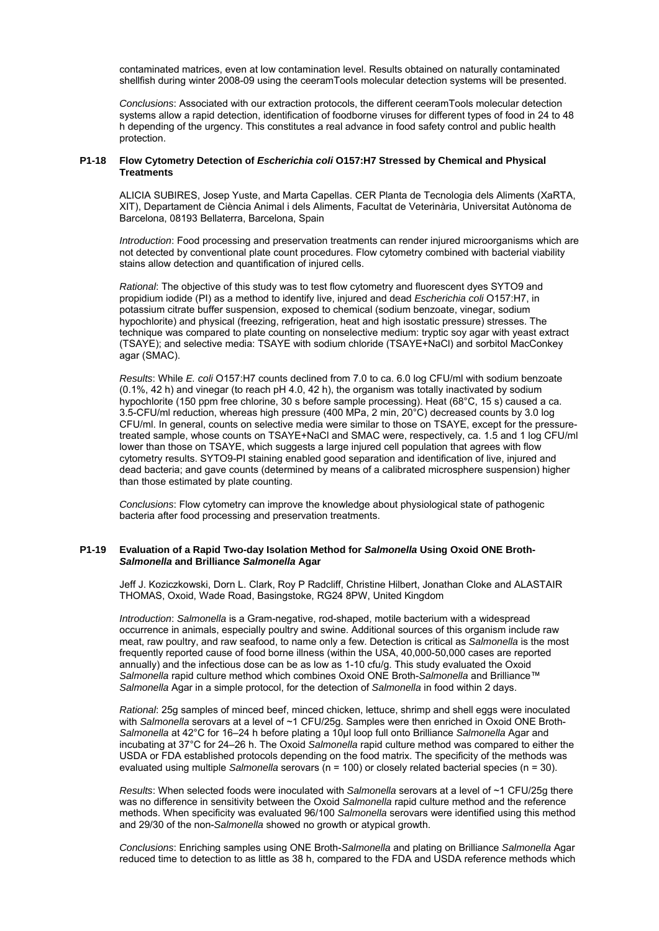contaminated matrices, even at low contamination level. Results obtained on naturally contaminated shellfish during winter 2008-09 using the ceeramTools molecular detection systems will be presented.

*Conclusions*: Associated with our extraction protocols, the different ceeramTools molecular detection systems allow a rapid detection, identification of foodborne viruses for different types of food in 24 to 48 h depending of the urgency. This constitutes a real advance in food safety control and public health protection.

#### **P1-18 Flow Cytometry Detection of** *Escherichia coli* **O157:H7 Stressed by Chemical and Physical Treatments**

ALICIA SUBIRES, Josep Yuste, and Marta Capellas. CER Planta de Tecnologia dels Aliments (XaRTA, XIT), Departament de Ciència Animal i dels Aliments, Facultat de Veterinària, Universitat Autònoma de Barcelona, 08193 Bellaterra, Barcelona, Spain

*Introduction*: Food processing and preservation treatments can render injured microorganisms which are not detected by conventional plate count procedures. Flow cytometry combined with bacterial viability stains allow detection and quantification of injured cells.

*Rational*: The objective of this study was to test flow cytometry and fluorescent dyes SYTO9 and propidium iodide (PI) as a method to identify live, injured and dead *Escherichia coli* O157:H7, in potassium citrate buffer suspension, exposed to chemical (sodium benzoate, vinegar, sodium hypochlorite) and physical (freezing, refrigeration, heat and high isostatic pressure) stresses. The technique was compared to plate counting on nonselective medium: tryptic soy agar with yeast extract (TSAYE); and selective media: TSAYE with sodium chloride (TSAYE+NaCl) and sorbitol MacConkey agar (SMAC).

*Results*: While *E. coli* O157:H7 counts declined from 7.0 to ca. 6.0 log CFU/ml with sodium benzoate (0.1%, 42 h) and vinegar (to reach pH 4.0, 42 h), the organism was totally inactivated by sodium hypochlorite (150 ppm free chlorine, 30 s before sample processing). Heat (68°C, 15 s) caused a ca. 3.5-CFU/ml reduction, whereas high pressure (400 MPa, 2 min, 20°C) decreased counts by 3.0 log CFU/ml. In general, counts on selective media were similar to those on TSAYE, except for the pressuretreated sample, whose counts on TSAYE+NaCl and SMAC were, respectively, ca. 1.5 and 1 log CFU/ml lower than those on TSAYE, which suggests a large injured cell population that agrees with flow cytometry results. SYTO9-PI staining enabled good separation and identification of live, injured and dead bacteria; and gave counts (determined by means of a calibrated microsphere suspension) higher than those estimated by plate counting.

*Conclusions*: Flow cytometry can improve the knowledge about physiological state of pathogenic bacteria after food processing and preservation treatments.

#### **P1-19 Evaluation of a Rapid Two-day Isolation Method for** *Salmonella* **Using Oxoid ONE Broth-***Salmonella* **and Brilliance** *Salmonella* **Agar**

Jeff J. Koziczkowski, Dorn L. Clark, Roy P Radcliff, Christine Hilbert, Jonathan Cloke and ALASTAIR THOMAS, Oxoid, Wade Road, Basingstoke, RG24 8PW, United Kingdom

*Introduction*: *Salmonella* is a Gram-negative, rod-shaped, motile bacterium with a widespread occurrence in animals, especially poultry and swine. Additional sources of this organism include raw meat, raw poultry, and raw seafood, to name only a few. Detection is critical as *Salmonella* is the most frequently reported cause of food borne illness (within the USA, 40,000-50,000 cases are reported annually) and the infectious dose can be as low as 1-10 cfu/g. This study evaluated the Oxoid *Salmonella* rapid culture method which combines Oxoid ONE Broth-*Salmonella* and Brilliance™ *Salmonella* Agar in a simple protocol, for the detection of *Salmonella* in food within 2 days.

*Rational*: 25g samples of minced beef, minced chicken, lettuce, shrimp and shell eggs were inoculated with *Salmonella* serovars at a level of ~1 CFU/25g. Samples were then enriched in Oxoid ONE Broth-*Salmonella* at 42°C for 16–24 h before plating a 10µl loop full onto Brilliance *Salmonella* Agar and incubating at 37°C for 24–26 h. The Oxoid *Salmonella* rapid culture method was compared to either the USDA or FDA established protocols depending on the food matrix. The specificity of the methods was evaluated using multiple *Salmonella* serovars (n = 100) or closely related bacterial species (n = 30).

*Results*: When selected foods were inoculated with *Salmonella* serovars at a level of ~1 CFU/25g there was no difference in sensitivity between the Oxoid *Salmonella* rapid culture method and the reference methods. When specificity was evaluated 96/100 *Salmonella* serovars were identified using this method and 29/30 of the non-*Salmonella* showed no growth or atypical growth.

*Conclusions*: Enriching samples using ONE Broth-*Salmonella* and plating on Brilliance *Salmonella* Agar reduced time to detection to as little as 38 h, compared to the FDA and USDA reference methods which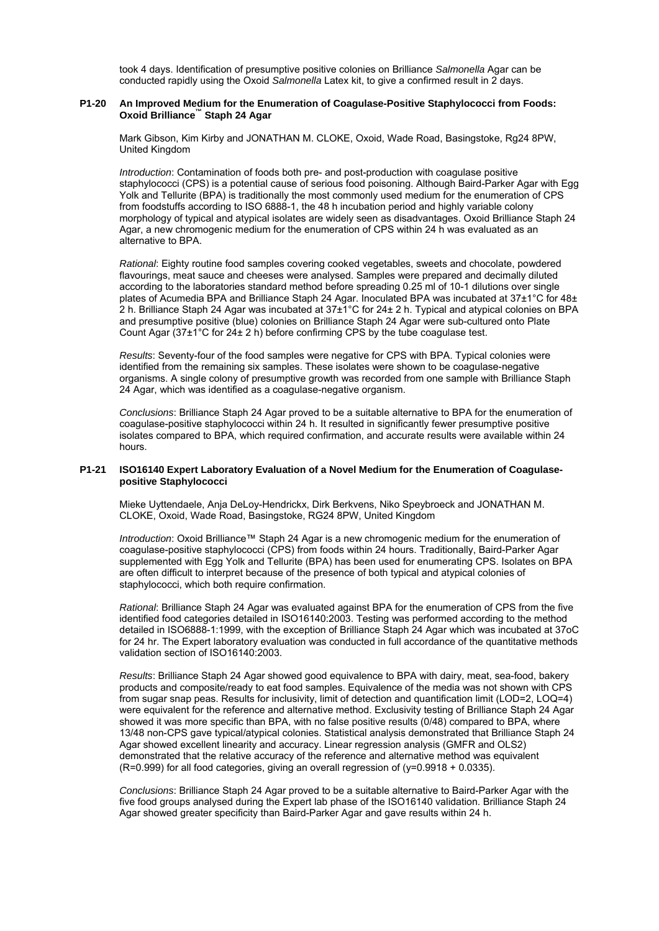took 4 days. Identification of presumptive positive colonies on Brilliance *Salmonella* Agar can be conducted rapidly using the Oxoid *Salmonella* Latex kit, to give a confirmed result in 2 days.

# **P1-20 An Improved Medium for the Enumeration of Coagulase-Positive Staphylococci from Foods: Oxoid Brilliance™ Staph 24 Agar**

Mark Gibson, Kim Kirby and JONATHAN M. CLOKE, Oxoid, Wade Road, Basingstoke, Rg24 8PW, United Kingdom

*Introduction*: Contamination of foods both pre- and post-production with coagulase positive staphylococci (CPS) is a potential cause of serious food poisoning. Although Baird-Parker Agar with Egg Yolk and Tellurite (BPA) is traditionally the most commonly used medium for the enumeration of CPS from foodstuffs according to ISO 6888-1, the 48 h incubation period and highly variable colony morphology of typical and atypical isolates are widely seen as disadvantages. Oxoid Brilliance Staph 24 Agar, a new chromogenic medium for the enumeration of CPS within 24 h was evaluated as an alternative to BPA.

*Rational*: Eighty routine food samples covering cooked vegetables, sweets and chocolate, powdered flavourings, meat sauce and cheeses were analysed. Samples were prepared and decimally diluted according to the laboratories standard method before spreading 0.25 ml of 10-1 dilutions over single plates of Acumedia BPA and Brilliance Staph 24 Agar. Inoculated BPA was incubated at 37±1°C for 48± 2 h. Brilliance Staph 24 Agar was incubated at 37±1°C for 24± 2 h. Typical and atypical colonies on BPA and presumptive positive (blue) colonies on Brilliance Staph 24 Agar were sub-cultured onto Plate Count Agar (37±1°C for 24± 2 h) before confirming CPS by the tube coagulase test.

*Results*: Seventy-four of the food samples were negative for CPS with BPA. Typical colonies were identified from the remaining six samples. These isolates were shown to be coagulase-negative organisms. A single colony of presumptive growth was recorded from one sample with Brilliance Staph 24 Agar, which was identified as a coagulase-negative organism.

*Conclusions*: Brilliance Staph 24 Agar proved to be a suitable alternative to BPA for the enumeration of coagulase-positive staphylococci within 24 h. It resulted in significantly fewer presumptive positive isolates compared to BPA, which required confirmation, and accurate results were available within 24 hours.

# **P1-21 ISO16140 Expert Laboratory Evaluation of a Novel Medium for the Enumeration of Coagulase positive Staphylococci**

Mieke Uyttendaele, Anja DeLoy-Hendrickx, Dirk Berkvens, Niko Speybroeck and JONATHAN M. CLOKE, Oxoid, Wade Road, Basingstoke, RG24 8PW, United Kingdom

*Introduction*: Oxoid Brilliance™ Staph 24 Agar is a new chromogenic medium for the enumeration of coagulase-positive staphylococci (CPS) from foods within 24 hours. Traditionally, Baird-Parker Agar supplemented with Egg Yolk and Tellurite (BPA) has been used for enumerating CPS. Isolates on BPA are often difficult to interpret because of the presence of both typical and atypical colonies of staphylococci, which both require confirmation.

*Rational*: Brilliance Staph 24 Agar was evaluated against BPA for the enumeration of CPS from the five identified food categories detailed in ISO16140:2003. Testing was performed according to the method detailed in ISO6888-1:1999, with the exception of Brilliance Staph 24 Agar which was incubated at 37oC for 24 hr. The Expert laboratory evaluation was conducted in full accordance of the quantitative methods validation section of ISO16140:2003.

*Results*: Brilliance Staph 24 Agar showed good equivalence to BPA with dairy, meat, sea-food, bakery products and composite/ready to eat food samples. Equivalence of the media was not shown with CPS from sugar snap peas. Results for inclusivity, limit of detection and quantification limit (LOD=2, LOQ=4) were equivalent for the reference and alternative method. Exclusivity testing of Brilliance Staph 24 Agar showed it was more specific than BPA, with no false positive results (0/48) compared to BPA, where 13/48 non-CPS gave typical/atypical colonies. Statistical analysis demonstrated that Brilliance Staph 24 Agar showed excellent linearity and accuracy. Linear regression analysis (GMFR and OLS2) demonstrated that the relative accuracy of the reference and alternative method was equivalent  $(R=0.999)$  for all food categories, giving an overall regression of  $(y=0.9918 + 0.0335)$ .

*Conclusions*: Brilliance Staph 24 Agar proved to be a suitable alternative to Baird-Parker Agar with the five food groups analysed during the Expert lab phase of the ISO16140 validation. Brilliance Staph 24 Agar showed greater specificity than Baird-Parker Agar and gave results within 24 h.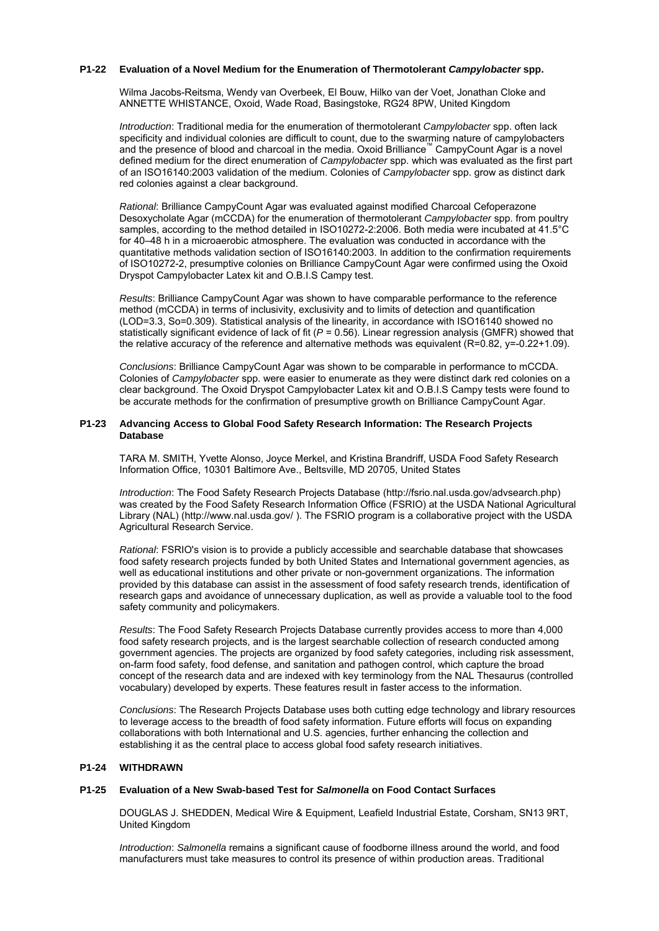## **P1-22 Evaluation of a Novel Medium for the Enumeration of Thermotolerant** *Campylobacter* **spp.**

Wilma Jacobs-Reitsma, Wendy van Overbeek, El Bouw, Hilko van der Voet, Jonathan Cloke and ANNETTE WHISTANCE, Oxoid, Wade Road, Basingstoke, RG24 8PW, United Kingdom

*Introduction*: Traditional media for the enumeration of thermotolerant *Campylobacter* spp. often lack specificity and individual colonies are difficult to count, due to the swarming nature of campylobacters and the presence of blood and charcoal in the media. Oxoid Brilliance™ CampyCount Agar is a novel defined medium for the direct enumeration of *Campylobacter* spp. which was evaluated as the first part of an ISO16140:2003 validation of the medium. Colonies of *Campylobacter* spp. grow as distinct dark red colonies against a clear background.

*Rational*: Brilliance CampyCount Agar was evaluated against modified Charcoal Cefoperazone Desoxycholate Agar (mCCDA) for the enumeration of thermotolerant *Campylobacter* spp. from poultry samples, according to the method detailed in ISO10272-2:2006. Both media were incubated at 41.5°C for 40–48 h in a microaerobic atmosphere. The evaluation was conducted in accordance with the quantitative methods validation section of ISO16140:2003. In addition to the confirmation requirements of ISO10272-2, presumptive colonies on Brilliance CampyCount Agar were confirmed using the Oxoid Dryspot Campylobacter Latex kit and O.B.I.S Campy test.

*Results*: Brilliance CampyCount Agar was shown to have comparable performance to the reference method (mCCDA) in terms of inclusivity, exclusivity and to limits of detection and quantification (LOD=3.3, So=0.309). Statistical analysis of the linearity, in accordance with ISO16140 showed no statistically significant evidence of lack of fit (*P* = 0.56). Linear regression analysis (GMFR) showed that the relative accuracy of the reference and alternative methods was equivalent (R=0.82, y=-0.22+1.09).

*Conclusions*: Brilliance CampyCount Agar was shown to be comparable in performance to mCCDA. Colonies of *Campylobacter* spp. were easier to enumerate as they were distinct dark red colonies on a clear background. The Oxoid Dryspot Campylobacter Latex kit and O.B.I.S Campy tests were found to be accurate methods for the confirmation of presumptive growth on Brilliance CampyCount Agar.

#### **P1-23 Advancing Access to Global Food Safety Research Information: The Research Projects Database**

TARA M. SMITH, Yvette Alonso, Joyce Merkel, and Kristina Brandriff, USDA Food Safety Research Information Office, 10301 Baltimore Ave., Beltsville, MD 20705, United States

*Introduction*: The Food Safety Research Projects Database (http://fsrio.nal.usda.gov/advsearch.php) was created by the Food Safety Research Information Office (FSRIO) at the USDA National Agricultural Library (NAL) (http://www.nal.usda.gov/ ). The FSRIO program is a collaborative project with the USDA Agricultural Research Service.

*Rational*: FSRIO's vision is to provide a publicly accessible and searchable database that showcases food safety research projects funded by both United States and International government agencies, as well as educational institutions and other private or non-government organizations. The information provided by this database can assist in the assessment of food safety research trends, identification of research gaps and avoidance of unnecessary duplication, as well as provide a valuable tool to the food safety community and policymakers.

*Results*: The Food Safety Research Projects Database currently provides access to more than 4,000 food safety research projects, and is the largest searchable collection of research conducted among government agencies. The projects are organized by food safety categories, including risk assessment, on-farm food safety, food defense, and sanitation and pathogen control, which capture the broad concept of the research data and are indexed with key terminology from the NAL Thesaurus (controlled vocabulary) developed by experts. These features result in faster access to the information.

*Conclusions*: The Research Projects Database uses both cutting edge technology and library resources to leverage access to the breadth of food safety information. Future efforts will focus on expanding collaborations with both International and U.S. agencies, further enhancing the collection and establishing it as the central place to access global food safety research initiatives.

# **P1-24 WITHDRAWN**

#### **P1-25 Evaluation of a New Swab-based Test for** *Salmonella* **on Food Contact Surfaces**

DOUGLAS J. SHEDDEN, Medical Wire & Equipment, Leafield Industrial Estate, Corsham, SN13 9RT, United Kingdom

*Introduction*: *Salmonella* remains a significant cause of foodborne illness around the world, and food manufacturers must take measures to control its presence of within production areas. Traditional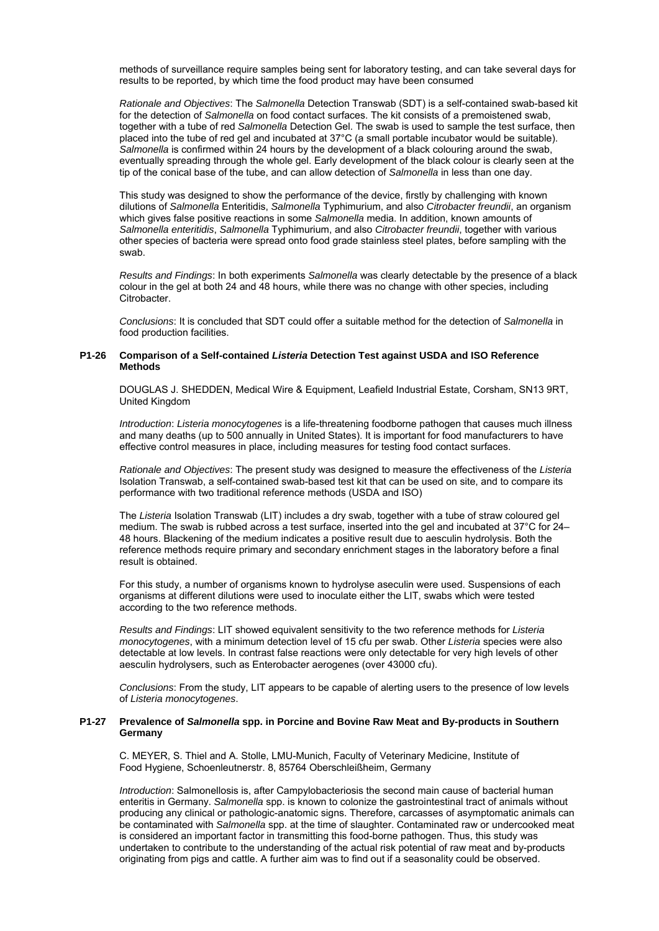methods of surveillance require samples being sent for laboratory testing, and can take several days for results to be reported, by which time the food product may have been consumed

*Rationale and Objectives*: The *Salmonella* Detection Transwab (SDT) is a self-contained swab-based kit for the detection of *Salmonella* on food contact surfaces. The kit consists of a premoistened swab, together with a tube of red *Salmonella* Detection Gel. The swab is used to sample the test surface, then placed into the tube of red gel and incubated at 37°C (a small portable incubator would be suitable). *Salmonella* is confirmed within 24 hours by the development of a black colouring around the swab, eventually spreading through the whole gel. Early development of the black colour is clearly seen at the tip of the conical base of the tube, and can allow detection of *Salmonella* in less than one day.

This study was designed to show the performance of the device, firstly by challenging with known dilutions of *Salmonella* Enteritidis, *Salmonella* Typhimurium, and also *Citrobacter freundii*, an organism which gives false positive reactions in some *Salmonella* media. In addition, known amounts of *Salmonella enteritidis*, *Salmonella* Typhimurium, and also *Citrobacter freundii*, together with various other species of bacteria were spread onto food grade stainless steel plates, before sampling with the swab.

*Results and Findings*: In both experiments *Salmonella* was clearly detectable by the presence of a black colour in the gel at both 24 and 48 hours, while there was no change with other species, including Citrobacter.

*Conclusions*: It is concluded that SDT could offer a suitable method for the detection of *Salmonella* in food production facilities.

# **P1-26 Comparison of a Self-contained** *Listeria* **Detection Test against USDA and ISO Reference Methods**

DOUGLAS J. SHEDDEN, Medical Wire & Equipment, Leafield Industrial Estate, Corsham, SN13 9RT, United Kingdom

*Introduction*: *Listeria monocytogenes* is a life-threatening foodborne pathogen that causes much illness and many deaths (up to 500 annually in United States). It is important for food manufacturers to have effective control measures in place, including measures for testing food contact surfaces.

*Rationale and Objectives*: The present study was designed to measure the effectiveness of the *Listeria* Isolation Transwab, a self-contained swab-based test kit that can be used on site, and to compare its performance with two traditional reference methods (USDA and ISO)

The *Listeria* Isolation Transwab (LIT) includes a dry swab, together with a tube of straw coloured gel medium. The swab is rubbed across a test surface, inserted into the gel and incubated at 37°C for 24– 48 hours. Blackening of the medium indicates a positive result due to aesculin hydrolysis. Both the reference methods require primary and secondary enrichment stages in the laboratory before a final result is obtained.

For this study, a number of organisms known to hydrolyse aseculin were used. Suspensions of each organisms at different dilutions were used to inoculate either the LIT, swabs which were tested according to the two reference methods.

*Results and Findings*: LIT showed equivalent sensitivity to the two reference methods for *Listeria monocytogenes*, with a minimum detection level of 15 cfu per swab. Other *Listeria* species were also detectable at low levels. In contrast false reactions were only detectable for very high levels of other aesculin hydrolysers, such as Enterobacter aerogenes (over 43000 cfu).

*Conclusions*: From the study, LIT appears to be capable of alerting users to the presence of low levels of *Listeria monocytogenes*.

#### **P1-27 Prevalence of** *Salmonella* **spp. in Porcine and Bovine Raw Meat and By-products in Southern Germany**

 C. MEYER, S. Thiel and A. Stolle, LMU-Munich, Faculty of Veterinary Medicine, Institute of Food Hygiene, Schoenleutnerstr. 8, 85764 Oberschleißheim, Germany

*Introduction*: Salmonellosis is, after Campylobacteriosis the second main cause of bacterial human enteritis in Germany. *Salmonella* spp. is known to colonize the gastrointestinal tract of animals without producing any clinical or pathologic-anatomic signs. Therefore, carcasses of asymptomatic animals can be contaminated with *Salmonella* spp. at the time of slaughter. Contaminated raw or undercooked meat is considered an important factor in transmitting this food-borne pathogen. Thus, this study was undertaken to contribute to the understanding of the actual risk potential of raw meat and by-products originating from pigs and cattle. A further aim was to find out if a seasonality could be observed.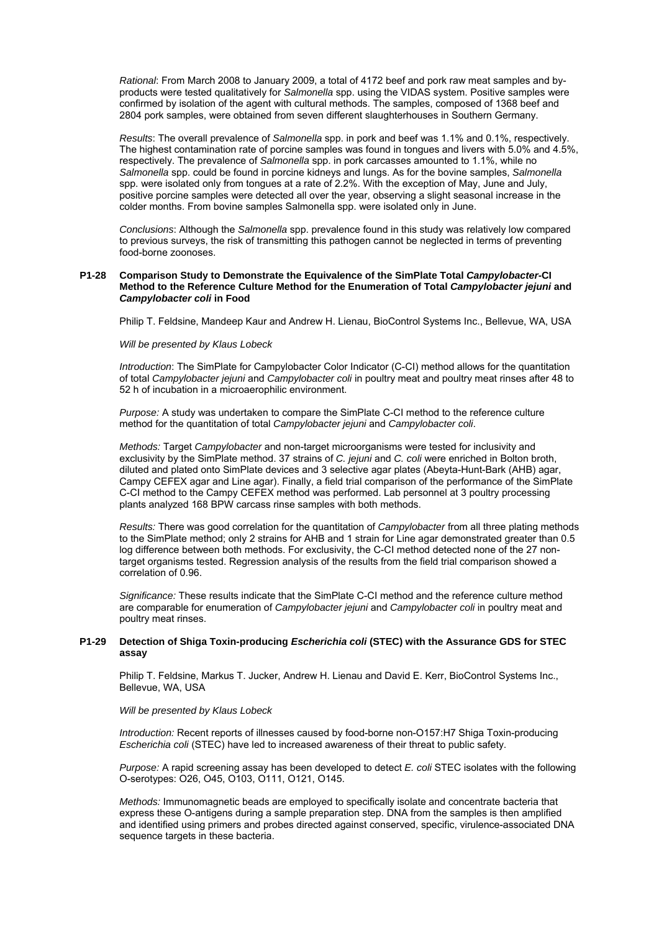*Rational*: From March 2008 to January 2009, a total of 4172 beef and pork raw meat samples and byproducts were tested qualitatively for *Salmonella* spp. using the VIDAS system. Positive samples were confirmed by isolation of the agent with cultural methods. The samples, composed of 1368 beef and 2804 pork samples, were obtained from seven different slaughterhouses in Southern Germany.

*Results*: The overall prevalence of *Salmonella* spp. in pork and beef was 1.1% and 0.1%, respectively. The highest contamination rate of porcine samples was found in tongues and livers with 5.0% and 4.5%, respectively. The prevalence of *Salmonella* spp. in pork carcasses amounted to 1.1%, while no *Salmonella* spp. could be found in porcine kidneys and lungs. As for the bovine samples, *Salmonella* spp. were isolated only from tongues at a rate of 2.2%. With the exception of May, June and July, positive porcine samples were detected all over the year, observing a slight seasonal increase in the colder months. From bovine samples Salmonella spp. were isolated only in June.

*Conclusions*: Although the *Salmonella* spp. prevalence found in this study was relatively low compared to previous surveys, the risk of transmitting this pathogen cannot be neglected in terms of preventing food-borne zoonoses.

#### **P1-28 Comparison Study to Demonstrate the Equivalence of the SimPlate Total** *Campylobacter***-CI Method to the Reference Culture Method for the Enumeration of Total** *Campylobacter jejuni* **and**  *Campylobacter coli* **in Food**

Philip T. Feldsine, Mandeep Kaur and Andrew H. Lienau, BioControl Systems Inc., Bellevue, WA, USA

#### *Will be presented by Klaus Lobeck*

*Introduction*: The SimPlate for Campylobacter Color Indicator (C-CI) method allows for the quantitation of total *Campylobacter jejuni* and *Campylobacter coli* in poultry meat and poultry meat rinses after 48 to 52 h of incubation in a microaerophilic environment.

*Purpose:* A study was undertaken to compare the SimPlate C-CI method to the reference culture method for the quantitation of total *Campylobacter jejuni* and *Campylobacter coli*.

*Methods:* Target *Campylobacter* and non-target microorganisms were tested for inclusivity and exclusivity by the SimPlate method. 37 strains of *C. jejuni* and *C. coli* were enriched in Bolton broth, diluted and plated onto SimPlate devices and 3 selective agar plates (Abeyta-Hunt-Bark (AHB) agar, Campy CEFEX agar and Line agar). Finally, a field trial comparison of the performance of the SimPlate C-CI method to the Campy CEFEX method was performed. Lab personnel at 3 poultry processing plants analyzed 168 BPW carcass rinse samples with both methods.

*Results:* There was good correlation for the quantitation of *Campylobacter* from all three plating methods to the SimPlate method; only 2 strains for AHB and 1 strain for Line agar demonstrated greater than 0.5 log difference between both methods. For exclusivity, the C-CI method detected none of the 27 nontarget organisms tested. Regression analysis of the results from the field trial comparison showed a correlation of 0.96.

*Significance:* These results indicate that the SimPlate C-CI method and the reference culture method are comparable for enumeration of *Campylobacter jejuni* and *Campylobacter coli* in poultry meat and poultry meat rinses.

#### **P1-29 Detection of Shiga Toxin-producing** *Escherichia coli* **(STEC) with the Assurance GDS for STEC assay**

Philip T. Feldsine, Markus T. Jucker, Andrew H. Lienau and David E. Kerr, BioControl Systems Inc., Bellevue, WA, USA

#### *Will be presented by Klaus Lobeck*

*Introduction:* Recent reports of illnesses caused by food-borne non-O157:H7 Shiga Toxin-producing *Escherichia coli* (STEC) have led to increased awareness of their threat to public safety.

*Purpose:* A rapid screening assay has been developed to detect *E. coli* STEC isolates with the following O-serotypes: O26, O45, O103, O111, O121, O145.

*Methods:* Immunomagnetic beads are employed to specifically isolate and concentrate bacteria that express these O-antigens during a sample preparation step. DNA from the samples is then amplified and identified using primers and probes directed against conserved, specific, virulence-associated DNA sequence targets in these bacteria.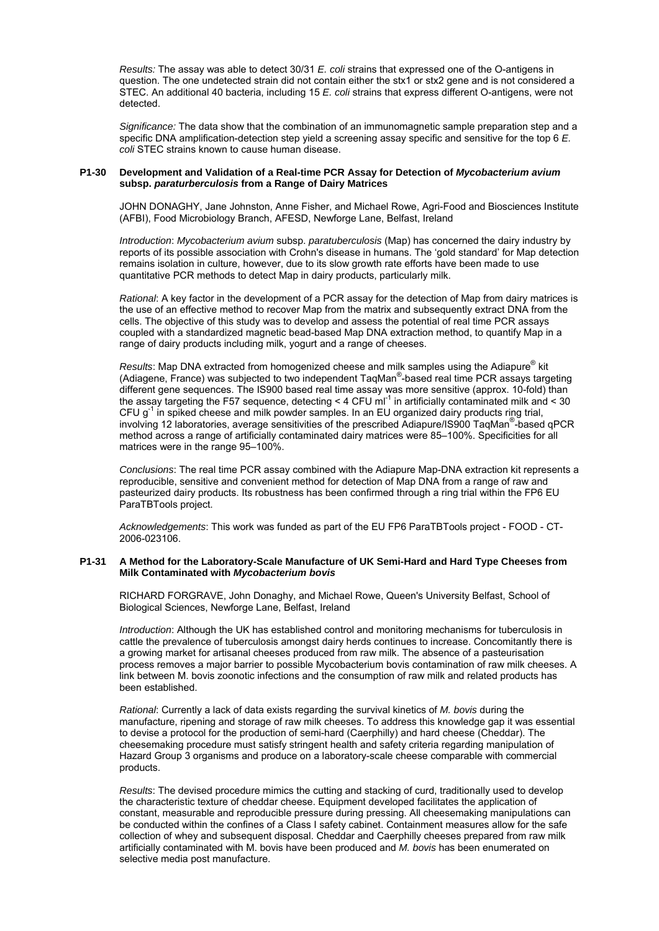*Results:* The assay was able to detect 30/31 *E. coli* strains that expressed one of the O-antigens in question. The one undetected strain did not contain either the stx1 or stx2 gene and is not considered a STEC. An additional 40 bacteria, including 15 *E. coli* strains that express different O-antigens, were not detected.

*Significance:* The data show that the combination of an immunomagnetic sample preparation step and a specific DNA amplification-detection step yield a screening assay specific and sensitive for the top 6 *E. coli* STEC strains known to cause human disease.

#### **P1-30 Development and Validation of a Real-time PCR Assay for Detection of** *Mycobacterium avium*  **subsp.** *paraturberculosis* **from a Range of Dairy Matrices**

JOHN DONAGHY, Jane Johnston, Anne Fisher, and Michael Rowe, Agri-Food and Biosciences Institute (AFBI), Food Microbiology Branch, AFESD, Newforge Lane, Belfast, Ireland

*Introduction*: *Mycobacterium avium* subsp. *paratuberculosis* (Map) has concerned the dairy industry by reports of its possible association with Crohn's disease in humans. The 'gold standard' for Map detection remains isolation in culture, however, due to its slow growth rate efforts have been made to use quantitative PCR methods to detect Map in dairy products, particularly milk.

*Rational*: A key factor in the development of a PCR assay for the detection of Map from dairy matrices is the use of an effective method to recover Map from the matrix and subsequently extract DNA from the cells. The objective of this study was to develop and assess the potential of real time PCR assays coupled with a standardized magnetic bead-based Map DNA extraction method, to quantify Map in a range of dairy products including milk, yogurt and a range of cheeses.

Results: Map DNA extracted from homogenized cheese and milk samples using the Adiapure<sup>®</sup> kit (Adiagene, France) was subjected to two independent TaqMan® -based real time PCR assays targeting different gene sequences. The IS900 based real time assay was more sensitive (approx. 10-fold) than the assay targeting the F57 sequence, detecting < 4 CFU ml<sup>-1</sup> in artificially contaminated milk and < 30 CFU  $q^{-1}$  in spiked cheese and milk powder samples. In an EU organized dairy products ring trial, involving 12 laboratories, average sensitivities of the prescribed Adiapure/IS900 TaqMan<sup>®</sup>-based qPCR method across a range of artificially contaminated dairy matrices were 85–100%. Specificities for all matrices were in the range 95-100%.

*Conclusions*: The real time PCR assay combined with the Adiapure Map-DNA extraction kit represents a reproducible, sensitive and convenient method for detection of Map DNA from a range of raw and pasteurized dairy products. Its robustness has been confirmed through a ring trial within the FP6 EU ParaTBTools project.

*Acknowledgements*: This work was funded as part of the EU FP6 ParaTBTools project - FOOD - CT-2006-023106.

#### **P1-31 A Method for the Laboratory-Scale Manufacture of UK Semi-Hard and Hard Type Cheeses from Milk Contaminated with** *Mycobacterium bovis*

RICHARD FORGRAVE, John Donaghy, and Michael Rowe, Queen's University Belfast, School of Biological Sciences, Newforge Lane, Belfast, Ireland

*Introduction*: Although the UK has established control and monitoring mechanisms for tuberculosis in cattle the prevalence of tuberculosis amongst dairy herds continues to increase. Concomitantly there is a growing market for artisanal cheeses produced from raw milk. The absence of a pasteurisation process removes a major barrier to possible Mycobacterium bovis contamination of raw milk cheeses. A link between M. bovis zoonotic infections and the consumption of raw milk and related products has been established.

*Rational*: Currently a lack of data exists regarding the survival kinetics of *M. bovis* during the manufacture, ripening and storage of raw milk cheeses. To address this knowledge gap it was essential to devise a protocol for the production of semi-hard (Caerphilly) and hard cheese (Cheddar). The cheesemaking procedure must satisfy stringent health and safety criteria regarding manipulation of Hazard Group 3 organisms and produce on a laboratory-scale cheese comparable with commercial products.

*Results*: The devised procedure mimics the cutting and stacking of curd, traditionally used to develop the characteristic texture of cheddar cheese. Equipment developed facilitates the application of constant, measurable and reproducible pressure during pressing. All cheesemaking manipulations can be conducted within the confines of a Class I safety cabinet. Containment measures allow for the safe collection of whey and subsequent disposal. Cheddar and Caerphilly cheeses prepared from raw milk artificially contaminated with M. bovis have been produced and *M. bovis* has been enumerated on selective media post manufacture.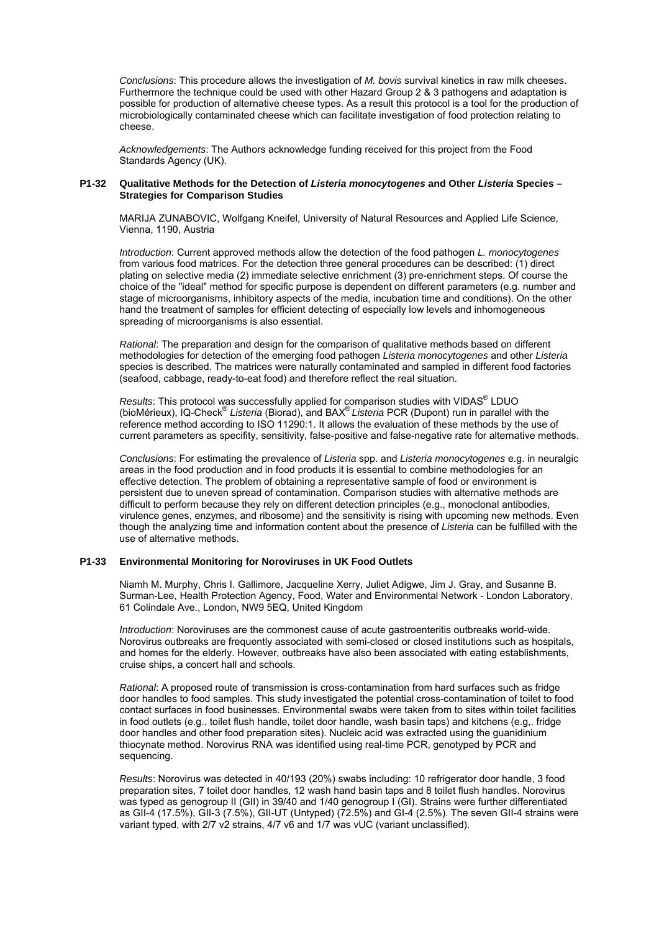*Conclusions*: This procedure allows the investigation of *M. bovis* survival kinetics in raw milk cheeses. Furthermore the technique could be used with other Hazard Group 2 & 3 pathogens and adaptation is possible for production of alternative cheese types. As a result this protocol is a tool for the production of microbiologically contaminated cheese which can facilitate investigation of food protection relating to cheese.

*Acknowledgements*: The Authors acknowledge funding received for this project from the Food Standards Agency (UK).

## **P1-32 Qualitative Methods for the Detection of** *Listeria monocytogenes* **and Other** *Listeria* **Species – Strategies for Comparison Studies**

MARIJA ZUNABOVIC, Wolfgang Kneifel, University of Natural Resources and Applied Life Science, Vienna, 1190, Austria

*Introduction*: Current approved methods allow the detection of the food pathogen *L. monocytogenes* from various food matrices. For the detection three general procedures can be described: (1) direct plating on selective media (2) immediate selective enrichment (3) pre-enrichment steps. Of course the choice of the "ideal" method for specific purpose is dependent on different parameters (e.g. number and stage of microorganisms, inhibitory aspects of the media, incubation time and conditions). On the other hand the treatment of samples for efficient detecting of especially low levels and inhomogeneous spreading of microorganisms is also essential.

*Rational*: The preparation and design for the comparison of qualitative methods based on different methodologies for detection of the emerging food pathogen *Listeria monocytogenes* and other *Listeria* species is described. The matrices were naturally contaminated and sampled in different food factories (seafood, cabbage, ready-to-eat food) and therefore reflect the real situation.

Results: This protocol was successfully applied for comparison studies with VIDAS<sup>®</sup> LDUO (bioMérieux), IQ-Check® *Listeria* (Biorad), and BAX® *Listeria* PCR (Dupont) run in parallel with the reference method according to ISO 11290:1. It allows the evaluation of these methods by the use of current parameters as specifity, sensitivity, false-positive and false-negative rate for alternative methods.

*Conclusions*: For estimating the prevalence of *Listeria* spp. and *Listeria monocytogenes* e.g. in neuralgic areas in the food production and in food products it is essential to combine methodologies for an effective detection. The problem of obtaining a representative sample of food or environment is persistent due to uneven spread of contamination. Comparison studies with alternative methods are difficult to perform because they rely on different detection principles (e.g., monoclonal antibodies, virulence genes, enzymes, and ribosome) and the sensitivity is rising with upcoming new methods. Even though the analyzing time and information content about the presence of *Listeria* can be fulfilled with the use of alternative methods.

# **P1-33 Environmental Monitoring for Noroviruses in UK Food Outlets**

Niamh M. Murphy, Chris I. Gallimore, Jacqueline Xerry, Juliet Adigwe, Jim J. Gray, and Susanne B. Surman-Lee, Health Protection Agency, Food, Water and Environmental Network - London Laboratory, 61 Colindale Ave., London, NW9 5EQ, United Kingdom

*Introduction*: Noroviruses are the commonest cause of acute gastroenteritis outbreaks world-wide. Norovirus outbreaks are frequently associated with semi-closed or closed institutions such as hospitals, and homes for the elderly. However, outbreaks have also been associated with eating establishments, cruise ships, a concert hall and schools.

*Rational*: A proposed route of transmission is cross-contamination from hard surfaces such as fridge door handles to food samples. This study investigated the potential cross-contamination of toilet to food contact surfaces in food businesses. Environmental swabs were taken from to sites within toilet facilities in food outlets (e.g., toilet flush handle, toilet door handle, wash basin taps) and kitchens (e.g,. fridge door handles and other food preparation sites). Nucleic acid was extracted using the guanidinium thiocynate method. Norovirus RNA was identified using real-time PCR, genotyped by PCR and sequencing.

*Results*: Norovirus was detected in 40/193 (20%) swabs including: 10 refrigerator door handle, 3 food preparation sites, 7 toilet door handles, 12 wash hand basin taps and 8 toilet flush handles. Norovirus was typed as genogroup II (GII) in 39/40 and 1/40 genogroup I (GI). Strains were further differentiated as GII-4 (17.5%), GII-3 (7.5%), GII-UT (Untyped) (72.5%) and GI-4 (2.5%). The seven GII-4 strains were variant typed, with 2/7 v2 strains, 4/7 v6 and 1/7 was vUC (variant unclassified).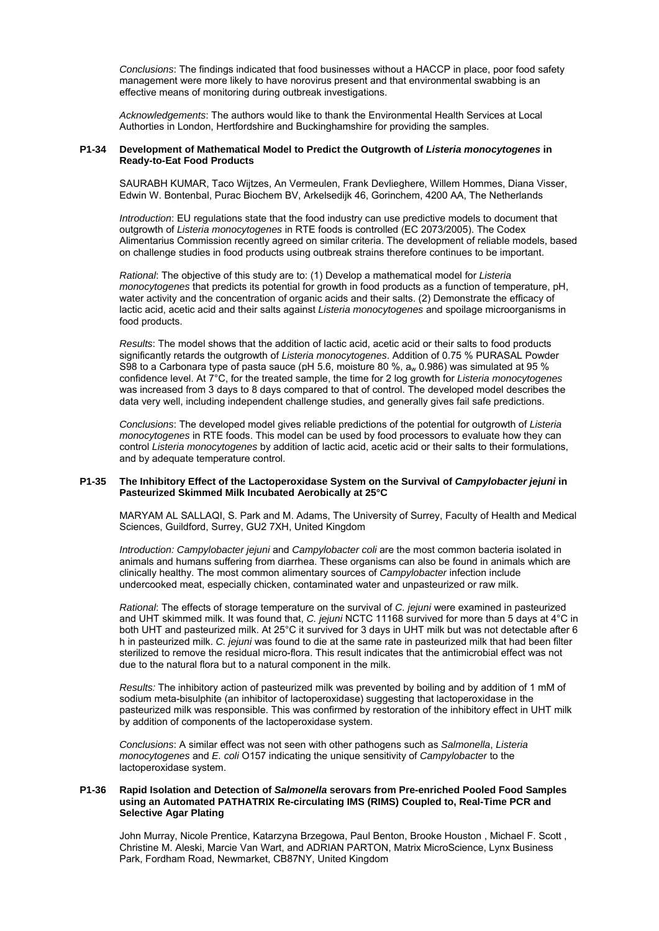*Conclusions*: The findings indicated that food businesses without a HACCP in place, poor food safety management were more likely to have norovirus present and that environmental swabbing is an effective means of monitoring during outbreak investigations.

*Acknowledgements*: The authors would like to thank the Environmental Health Services at Local Authorties in London, Hertfordshire and Buckinghamshire for providing the samples.

## **P1-34 Development of Mathematical Model to Predict the Outgrowth of** *Listeria monocytogenes* **in Ready-to-Eat Food Products**

SAURABH KUMAR, Taco Wijtzes, An Vermeulen, Frank Devlieghere, Willem Hommes, Diana Visser, Edwin W. Bontenbal, Purac Biochem BV, Arkelsedijk 46, Gorinchem, 4200 AA, The Netherlands

*Introduction*: EU regulations state that the food industry can use predictive models to document that outgrowth of *Listeria monocytogenes* in RTE foods is controlled (EC 2073/2005). The Codex Alimentarius Commission recently agreed on similar criteria. The development of reliable models, based on challenge studies in food products using outbreak strains therefore continues to be important.

*Rational*: The objective of this study are to: (1) Develop a mathematical model for *Listeria monocytogenes* that predicts its potential for growth in food products as a function of temperature, pH, water activity and the concentration of organic acids and their salts. (2) Demonstrate the efficacy of lactic acid, acetic acid and their salts against *Listeria monocytogenes* and spoilage microorganisms in food products.

*Results*: The model shows that the addition of lactic acid, acetic acid or their salts to food products significantly retards the outgrowth of *Listeria monocytogenes*. Addition of 0.75 % PURASAL Powder S98 to a Carbonara type of pasta sauce (pH 5.6, moisture 80 %, a<sub>w</sub> 0.986) was simulated at 95 % confidence level. At 7°C, for the treated sample, the time for 2 log growth for *Listeria monocytogenes*  was increased from 3 days to 8 days compared to that of control. The developed model describes the data very well, including independent challenge studies, and generally gives fail safe predictions.

*Conclusions*: The developed model gives reliable predictions of the potential for outgrowth of *Listeria monocytogenes* in RTE foods. This model can be used by food processors to evaluate how they can control *Listeria monocytogenes* by addition of lactic acid, acetic acid or their salts to their formulations, and by adequate temperature control.

#### **P1-35 The Inhibitory Effect of the Lactoperoxidase System on the Survival of** *Campylobacter jejuni* **in Pasteurized Skimmed Milk Incubated Aerobically at 25°C**

MARYAM AL SALLAQI, S. Park and M. Adams, The University of Surrey, Faculty of Health and Medical Sciences, Guildford, Surrey, GU2 7XH, United Kingdom

*Introduction: Campylobacter jejuni* and *Campylobacter coli* are the most common bacteria isolated in animals and humans suffering from diarrhea. These organisms can also be found in animals which are clinically healthy. The most common alimentary sources of *Campylobacter* infection include undercooked meat, especially chicken, contaminated water and unpasteurized or raw milk.

*Rational*: The effects of storage temperature on the survival of *C. jejuni* were examined in pasteurized and UHT skimmed milk. It was found that, *C. jejuni* NCTC 11168 survived for more than 5 days at 4°C in both UHT and pasteurized milk. At 25°C it survived for 3 days in UHT milk but was not detectable after 6 h in pasteurized milk. *C. jejuni* was found to die at the same rate in pasteurized milk that had been filter sterilized to remove the residual micro-flora. This result indicates that the antimicrobial effect was not due to the natural flora but to a natural component in the milk.

*Results:* The inhibitory action of pasteurized milk was prevented by boiling and by addition of 1 mM of sodium meta-bisulphite (an inhibitor of lactoperoxidase) suggesting that lactoperoxidase in the pasteurized milk was responsible. This was confirmed by restoration of the inhibitory effect in UHT milk by addition of components of the lactoperoxidase system.

*Conclusions*: A similar effect was not seen with other pathogens such as *Salmonella*, *Listeria monocytogenes* and *E. coli* O157 indicating the unique sensitivity of *Campylobacter* to the lactoperoxidase system.

#### **P1-36 Rapid Isolation and Detection of** *Salmonella* **serovars from Pre-enriched Pooled Food Samples using an Automated PATHATRIX Re-circulating IMS (RIMS) Coupled to, Real-Time PCR and Selective Agar Plating**

John Murray, Nicole Prentice, Katarzyna Brzegowa, Paul Benton, Brooke Houston , Michael F. Scott , Christine M. Aleski, Marcie Van Wart, and ADRIAN PARTON, Matrix MicroScience, Lynx Business Park, Fordham Road, Newmarket, CB87NY, United Kingdom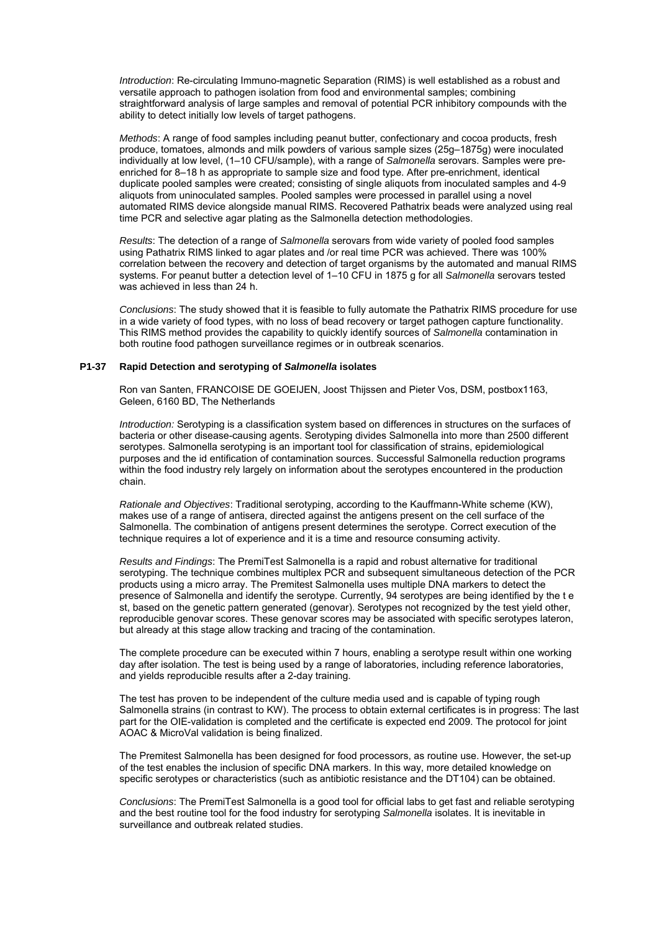*Introduction*: Re-circulating Immuno-magnetic Separation (RIMS) is well established as a robust and versatile approach to pathogen isolation from food and environmental samples; combining straightforward analysis of large samples and removal of potential PCR inhibitory compounds with the ability to detect initially low levels of target pathogens.

*Methods*: A range of food samples including peanut butter, confectionary and cocoa products, fresh produce, tomatoes, almonds and milk powders of various sample sizes (25g–1875g) were inoculated individually at low level, (1–10 CFU/sample), with a range of *Salmonella* serovars. Samples were preenriched for 8–18 h as appropriate to sample size and food type. After pre-enrichment, identical duplicate pooled samples were created; consisting of single aliquots from inoculated samples and 4-9 aliquots from uninoculated samples. Pooled samples were processed in parallel using a novel automated RIMS device alongside manual RIMS. Recovered Pathatrix beads were analyzed using real time PCR and selective agar plating as the Salmonella detection methodologies.

*Results*: The detection of a range of *Salmonella* serovars from wide variety of pooled food samples using Pathatrix RIMS linked to agar plates and /or real time PCR was achieved. There was 100% correlation between the recovery and detection of target organisms by the automated and manual RIMS systems. For peanut butter a detection level of 1–10 CFU in 1875 g for all *Salmonella* serovars tested was achieved in less than 24 h.

*Conclusions*: The study showed that it is feasible to fully automate the Pathatrix RIMS procedure for use in a wide variety of food types, with no loss of bead recovery or target pathogen capture functionality. This RIMS method provides the capability to quickly identify sources of *Salmonella* contamination in both routine food pathogen surveillance regimes or in outbreak scenarios.

## **P1-37 Rapid Detection and serotyping of** *Salmonella* **isolates**

Ron van Santen, FRANCOISE DE GOEIJEN, Joost Thijssen and Pieter Vos, DSM, postbox1163, Geleen, 6160 BD, The Netherlands

*Introduction:* Serotyping is a classification system based on differences in structures on the surfaces of bacteria or other disease-causing agents. Serotyping divides Salmonella into more than 2500 different serotypes. Salmonella serotyping is an important tool for classification of strains, epidemiological purposes and the id entification of contamination sources. Successful Salmonella reduction programs within the food industry rely largely on information about the serotypes encountered in the production chain.

*Rationale and Objectives*: Traditional serotyping, according to the Kauffmann-White scheme (KW), makes use of a range of antisera, directed against the antigens present on the cell surface of the Salmonella. The combination of antigens present determines the serotype. Correct execution of the technique requires a lot of experience and it is a time and resource consuming activity.

*Results and Findings*: The PremiTest Salmonella is a rapid and robust alternative for traditional serotyping. The technique combines multiplex PCR and subsequent simultaneous detection of the PCR products using a micro array. The Premitest Salmonella uses multiple DNA markers to detect the presence of Salmonella and identify the serotype. Currently, 94 serotypes are being identified by the t e st, based on the genetic pattern generated (genovar). Serotypes not recognized by the test yield other, reproducible genovar scores. These genovar scores may be associated with specific serotypes lateron, but already at this stage allow tracking and tracing of the contamination.

The complete procedure can be executed within 7 hours, enabling a serotype result within one working day after isolation. The test is being used by a range of laboratories, including reference laboratories, and yields reproducible results after a 2-day training.

The test has proven to be independent of the culture media used and is capable of typing rough Salmonella strains (in contrast to KW). The process to obtain external certificates is in progress: The last part for the OIE-validation is completed and the certificate is expected end 2009. The protocol for joint AOAC & MicroVal validation is being finalized.

The Premitest Salmonella has been designed for food processors, as routine use. However, the set-up of the test enables the inclusion of specific DNA markers. In this way, more detailed knowledge on specific serotypes or characteristics (such as antibiotic resistance and the DT104) can be obtained.

*Conclusions*: The PremiTest Salmonella is a good tool for official labs to get fast and reliable serotyping and the best routine tool for the food industry for serotyping *Salmonella* isolates. It is inevitable in surveillance and outbreak related studies.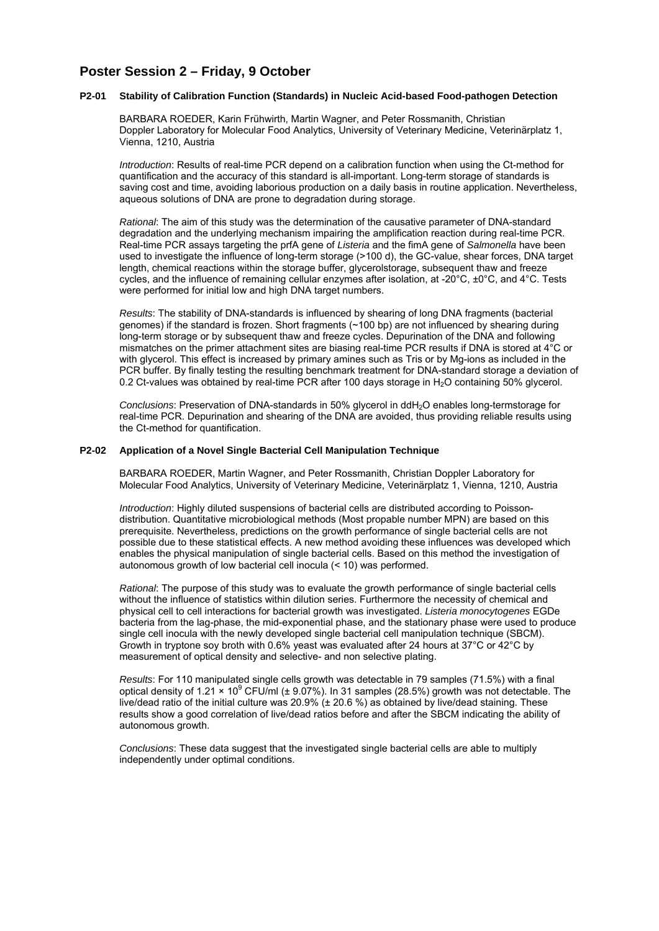# **Poster Session 2 – Friday, 9 October**

#### **P2-01 Stability of Calibration Function (Standards) in Nucleic Acid-based Food-pathogen Detection**

 BARBARA ROEDER, Karin Frühwirth, Martin Wagner, and Peter Rossmanith, Christian Doppler Laboratory for Molecular Food Analytics, University of Veterinary Medicine, Veterinärplatz 1, Vienna, 1210, Austria

*Introduction*: Results of real-time PCR depend on a calibration function when using the Ct-method for quantification and the accuracy of this standard is all-important. Long-term storage of standards is saving cost and time, avoiding laborious production on a daily basis in routine application. Nevertheless, aqueous solutions of DNA are prone to degradation during storage.

*Rational*: The aim of this study was the determination of the causative parameter of DNA-standard degradation and the underlying mechanism impairing the amplification reaction during real-time PCR. Real-time PCR assays targeting the prfA gene of *Listeria* and the fimA gene of *Salmonella* have been used to investigate the influence of long-term storage (>100 d), the GC-value, shear forces, DNA target length, chemical reactions within the storage buffer, glycerolstorage, subsequent thaw and freeze cycles, and the influence of remaining cellular enzymes after isolation, at -20°C, ±0°C, and 4°C. Tests were performed for initial low and high DNA target numbers.

*Results*: The stability of DNA-standards is influenced by shearing of long DNA fragments (bacterial genomes) if the standard is frozen. Short fragments (~100 bp) are not influenced by shearing during long-term storage or by subsequent thaw and freeze cycles. Depurination of the DNA and following mismatches on the primer attachment sites are biasing real-time PCR results if DNA is stored at 4°C or with glycerol. This effect is increased by primary amines such as Tris or by Mg-ions as included in the PCR buffer. By finally testing the resulting benchmark treatment for DNA-standard storage a deviation of 0.2 Ct-values was obtained by real-time PCR after 100 days storage in H<sub>2</sub>O containing 50% glycerol.

*Conclusions*: Preservation of DNA-standards in 50% glycerol in ddH2O enables long-termstorage for real-time PCR. Depurination and shearing of the DNA are avoided, thus providing reliable results using the Ct-method for quantification.

## **P2-02 Application of a Novel Single Bacterial Cell Manipulation Technique**

BARBARA ROEDER, Martin Wagner, and Peter Rossmanith, Christian Doppler Laboratory for Molecular Food Analytics, University of Veterinary Medicine, Veterinärplatz 1, Vienna, 1210, Austria

*Introduction*: Highly diluted suspensions of bacterial cells are distributed according to Poissondistribution. Quantitative microbiological methods (Most propable number MPN) are based on this prerequisite. Nevertheless, predictions on the growth performance of single bacterial cells are not possible due to these statistical effects. A new method avoiding these influences was developed which enables the physical manipulation of single bacterial cells. Based on this method the investigation of autonomous growth of low bacterial cell inocula (< 10) was performed.

*Rational*: The purpose of this study was to evaluate the growth performance of single bacterial cells without the influence of statistics within dilution series. Furthermore the necessity of chemical and physical cell to cell interactions for bacterial growth was investigated. *Listeria monocytogenes* EGDe bacteria from the lag-phase, the mid-exponential phase, and the stationary phase were used to produce single cell inocula with the newly developed single bacterial cell manipulation technique (SBCM). Growth in tryptone soy broth with 0.6% yeast was evaluated after 24 hours at 37°C or 42°C by measurement of optical density and selective- and non selective plating.

*Results*: For 110 manipulated single cells growth was detectable in 79 samples (71.5%) with a final optical density of 1.21  $\times$  10<sup>9</sup> CFU/ml (± 9.07%). In 31 samples (28.5%) growth was not detectable. The live/dead ratio of the initial culture was 20.9% (± 20.6 %) as obtained by live/dead staining. These results show a good correlation of live/dead ratios before and after the SBCM indicating the ability of autonomous growth.

*Conclusions*: These data suggest that the investigated single bacterial cells are able to multiply independently under optimal conditions.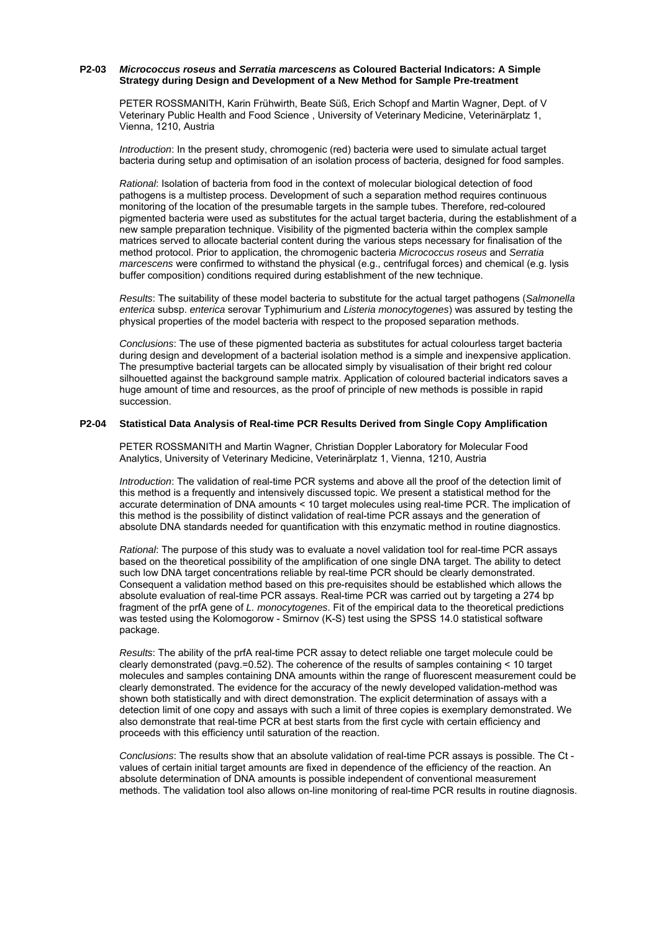# **P2-03** *Micrococcus roseus* **and** *Serratia marcescens* **as Coloured Bacterial Indicators: A Simple Strategy during Design and Development of a New Method for Sample Pre-treatment**

PETER ROSSMANITH, Karin Frühwirth, Beate Süß, Erich Schopf and Martin Wagner, Dept. of V Veterinary Public Health and Food Science , University of Veterinary Medicine, Veterinärplatz 1, Vienna, 1210, Austria

*Introduction*: In the present study, chromogenic (red) bacteria were used to simulate actual target bacteria during setup and optimisation of an isolation process of bacteria, designed for food samples.

*Rational*: Isolation of bacteria from food in the context of molecular biological detection of food pathogens is a multistep process. Development of such a separation method requires continuous monitoring of the location of the presumable targets in the sample tubes. Therefore, red-coloured pigmented bacteria were used as substitutes for the actual target bacteria, during the establishment of a new sample preparation technique. Visibility of the pigmented bacteria within the complex sample matrices served to allocate bacterial content during the various steps necessary for finalisation of the method protocol. Prior to application, the chromogenic bacteria *Micrococcus roseus* and *Serratia marcescens* were confirmed to withstand the physical (e.g., centrifugal forces) and chemical (e.g. lysis buffer composition) conditions required during establishment of the new technique.

*Results*: The suitability of these model bacteria to substitute for the actual target pathogens (*Salmonella enterica* subsp. *enterica* serovar Typhimurium and *Listeria monocytogenes*) was assured by testing the physical properties of the model bacteria with respect to the proposed separation methods.

*Conclusions*: The use of these pigmented bacteria as substitutes for actual colourless target bacteria during design and development of a bacterial isolation method is a simple and inexpensive application. The presumptive bacterial targets can be allocated simply by visualisation of their bright red colour silhouetted against the background sample matrix. Application of coloured bacterial indicators saves a huge amount of time and resources, as the proof of principle of new methods is possible in rapid succession.

#### **P2-04 Statistical Data Analysis of Real-time PCR Results Derived from Single Copy Amplification**

PETER ROSSMANITH and Martin Wagner, Christian Doppler Laboratory for Molecular Food Analytics, University of Veterinary Medicine, Veterinärplatz 1, Vienna, 1210, Austria

*Introduction*: The validation of real-time PCR systems and above all the proof of the detection limit of this method is a frequently and intensively discussed topic. We present a statistical method for the accurate determination of DNA amounts < 10 target molecules using real-time PCR. The implication of this method is the possibility of distinct validation of real-time PCR assays and the generation of absolute DNA standards needed for quantification with this enzymatic method in routine diagnostics.

*Rational*: The purpose of this study was to evaluate a novel validation tool for real-time PCR assays based on the theoretical possibility of the amplification of one single DNA target. The ability to detect such low DNA target concentrations reliable by real-time PCR should be clearly demonstrated. Consequent a validation method based on this pre-requisites should be established which allows the absolute evaluation of real-time PCR assays. Real-time PCR was carried out by targeting a 274 bp fragment of the prfA gene of *L. monocytogenes*. Fit of the empirical data to the theoretical predictions was tested using the Kolomogorow - Smirnov (K-S) test using the SPSS 14.0 statistical software package.

*Results*: The ability of the prfA real-time PCR assay to detect reliable one target molecule could be clearly demonstrated (pavg.=0.52). The coherence of the results of samples containing < 10 target molecules and samples containing DNA amounts within the range of fluorescent measurement could be clearly demonstrated. The evidence for the accuracy of the newly developed validation-method was shown both statistically and with direct demonstration. The explicit determination of assays with a detection limit of one copy and assays with such a limit of three copies is exemplary demonstrated. We also demonstrate that real-time PCR at best starts from the first cycle with certain efficiency and proceeds with this efficiency until saturation of the reaction.

*Conclusions*: The results show that an absolute validation of real-time PCR assays is possible. The Ct values of certain initial target amounts are fixed in dependence of the efficiency of the reaction. An absolute determination of DNA amounts is possible independent of conventional measurement methods. The validation tool also allows on-line monitoring of real-time PCR results in routine diagnosis.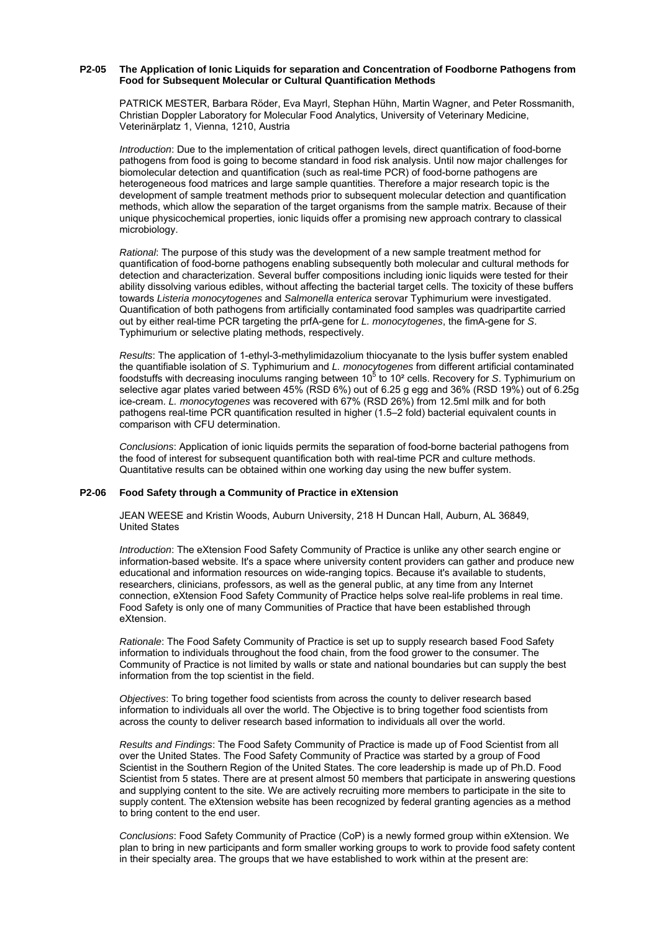#### **P2-05 The Application of Ionic Liquids for separation and Concentration of Foodborne Pathogens from Food for Subsequent Molecular or Cultural Quantification Methods**

PATRICK MESTER, Barbara Röder, Eva Mayrl, Stephan Hühn, Martin Wagner, and Peter Rossmanith, Christian Doppler Laboratory for Molecular Food Analytics, University of Veterinary Medicine, Veterinärplatz 1, Vienna, 1210, Austria

*Introduction*: Due to the implementation of critical pathogen levels, direct quantification of food-borne pathogens from food is going to become standard in food risk analysis. Until now major challenges for biomolecular detection and quantification (such as real-time PCR) of food-borne pathogens are heterogeneous food matrices and large sample quantities. Therefore a major research topic is the development of sample treatment methods prior to subsequent molecular detection and quantification methods, which allow the separation of the target organisms from the sample matrix. Because of their unique physicochemical properties, ionic liquids offer a promising new approach contrary to classical microbiology.

*Rational*: The purpose of this study was the development of a new sample treatment method for quantification of food-borne pathogens enabling subsequently both molecular and cultural methods for detection and characterization. Several buffer compositions including ionic liquids were tested for their ability dissolving various edibles, without affecting the bacterial target cells. The toxicity of these buffers towards *Listeria monocytogenes* and *Salmonella enterica* serovar Typhimurium were investigated. Quantification of both pathogens from artificially contaminated food samples was quadripartite carried out by either real-time PCR targeting the prfA-gene for *L. monocytogenes*, the fimA-gene for *S*. Typhimurium or selective plating methods, respectively.

*Results*: The application of 1-ethyl-3-methylimidazolium thiocyanate to the lysis buffer system enabled the quantifiable isolation of *S*. Typhimurium and *L. monocytogenes* from different artificial contaminated foodstuffs with decreasing inoculums ranging between 10<sup>5</sup> to 10<sup>2</sup> cells. Recovery for *S*. Typhimurium on selective agar plates varied between 45% (RSD 6%) out of 6.25 g egg and 36% (RSD 19%) out of 6.25g ice-cream. *L. monocytogenes* was recovered with 67% (RSD 26%) from 12.5ml milk and for both pathogens real-time PCR quantification resulted in higher (1.5–2 fold) bacterial equivalent counts in comparison with CFU determination.

*Conclusions*: Application of ionic liquids permits the separation of food-borne bacterial pathogens from the food of interest for subsequent quantification both with real-time PCR and culture methods. Quantitative results can be obtained within one working day using the new buffer system.

## **P2-06 Food Safety through a Community of Practice in eXtension**

 JEAN WEESE and Kristin Woods, Auburn University, 218 H Duncan Hall, Auburn, AL 36849, United States

*Introduction*: The eXtension Food Safety Community of Practice is unlike any other search engine or information-based website. It's a space where university content providers can gather and produce new educational and information resources on wide-ranging topics. Because it's available to students, researchers, clinicians, professors, as well as the general public, at any time from any Internet connection, eXtension Food Safety Community of Practice helps solve real-life problems in real time. Food Safety is only one of many Communities of Practice that have been established through eXtension.

*Rationale*: The Food Safety Community of Practice is set up to supply research based Food Safety information to individuals throughout the food chain, from the food grower to the consumer. The Community of Practice is not limited by walls or state and national boundaries but can supply the best information from the top scientist in the field.

*Objectives*: To bring together food scientists from across the county to deliver research based information to individuals all over the world. The Objective is to bring together food scientists from across the county to deliver research based information to individuals all over the world.

*Results and Findings*: The Food Safety Community of Practice is made up of Food Scientist from all over the United States. The Food Safety Community of Practice was started by a group of Food Scientist in the Southern Region of the United States. The core leadership is made up of Ph.D. Food Scientist from 5 states. There are at present almost 50 members that participate in answering questions and supplying content to the site. We are actively recruiting more members to participate in the site to supply content. The eXtension website has been recognized by federal granting agencies as a method to bring content to the end user.

*Conclusions*: Food Safety Community of Practice (CoP) is a newly formed group within eXtension. We plan to bring in new participants and form smaller working groups to work to provide food safety content in their specialty area. The groups that we have established to work within at the present are: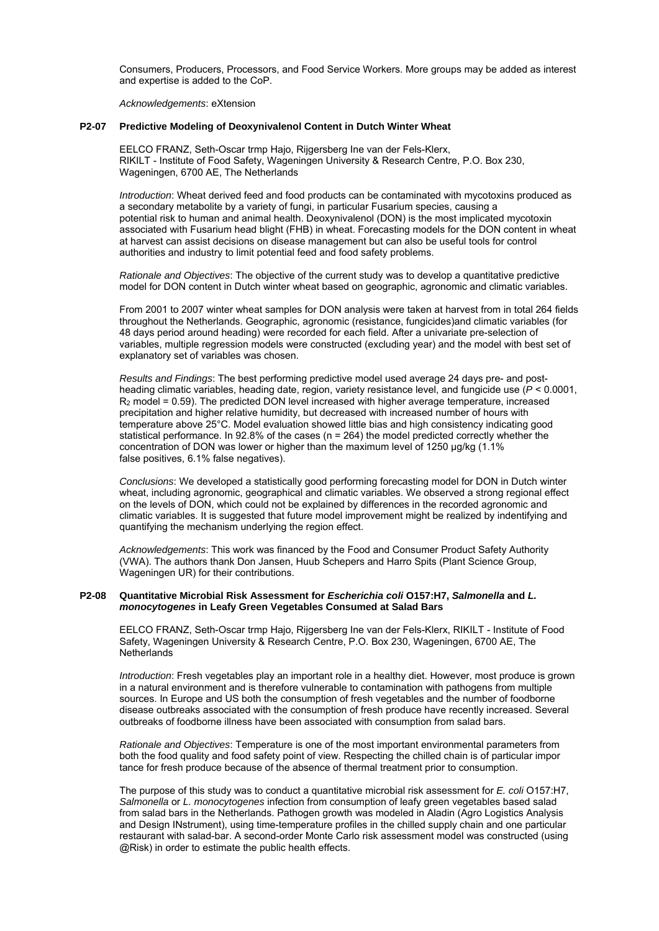Consumers, Producers, Processors, and Food Service Workers. More groups may be added as interest and expertise is added to the CoP.

*Acknowledgements*: eXtension

#### **P2-07 Predictive Modeling of Deoxynivalenol Content in Dutch Winter Wheat**

EELCO FRANZ, Seth-Oscar trmp Hajo, Rijgersberg Ine van der Fels-Klerx, RIKILT - Institute of Food Safety, Wageningen University & Research Centre, P.O. Box 230, Wageningen, 6700 AE, The Netherlands

*Introduction*: Wheat derived feed and food products can be contaminated with mycotoxins produced as a secondary metabolite by a variety of fungi, in particular Fusarium species, causing a potential risk to human and animal health. Deoxynivalenol (DON) is the most implicated mycotoxin associated with Fusarium head blight (FHB) in wheat. Forecasting models for the DON content in wheat at harvest can assist decisions on disease management but can also be useful tools for control authorities and industry to limit potential feed and food safety problems.

*Rationale and Objectives*: The objective of the current study was to develop a quantitative predictive model for DON content in Dutch winter wheat based on geographic, agronomic and climatic variables.

From 2001 to 2007 winter wheat samples for DON analysis were taken at harvest from in total 264 fields throughout the Netherlands. Geographic, agronomic (resistance, fungicides)and climatic variables (for 48 days period around heading) were recorded for each field. After a univariate pre-selection of variables, multiple regression models were constructed (excluding year) and the model with best set of explanatory set of variables was chosen.

*Results and Findings*: The best performing predictive model used average 24 days pre- and postheading climatic variables, heading date, region, variety resistance level, and fungicide use (*P* < 0.0001,  $R<sub>2</sub>$  model = 0.59). The predicted DON level increased with higher average temperature, increased precipitation and higher relative humidity, but decreased with increased number of hours with temperature above 25°C. Model evaluation showed little bias and high consistency indicating good statistical performance. In 92.8% of the cases (n = 264) the model predicted correctly whether the concentration of DON was lower or higher than the maximum level of 1250 μg/kg (1.1% false positives, 6.1% false negatives).

*Conclusions*: We developed a statistically good performing forecasting model for DON in Dutch winter wheat, including agronomic, geographical and climatic variables. We observed a strong regional effect on the levels of DON, which could not be explained by differences in the recorded agronomic and climatic variables. It is suggested that future model improvement might be realized by indentifying and quantifying the mechanism underlying the region effect.

*Acknowledgements*: This work was financed by the Food and Consumer Product Safety Authority (VWA). The authors thank Don Jansen, Huub Schepers and Harro Spits (Plant Science Group, Wageningen UR) for their contributions.

#### **P2-08 Quantitative Microbial Risk Assessment for** *Escherichia coli* **O157:H7,** *Salmonella* **and** *L. monocytogenes* **in Leafy Green Vegetables Consumed at Salad Bars**

EELCO FRANZ, Seth-Oscar trmp Hajo, Rijgersberg Ine van der Fels-Klerx, RIKILT - Institute of Food Safety, Wageningen University & Research Centre, P.O. Box 230, Wageningen, 6700 AE, The **Netherlands** 

*Introduction*: Fresh vegetables play an important role in a healthy diet. However, most produce is grown in a natural environment and is therefore vulnerable to contamination with pathogens from multiple sources. In Europe and US both the consumption of fresh vegetables and the number of foodborne disease outbreaks associated with the consumption of fresh produce have recently increased. Several outbreaks of foodborne illness have been associated with consumption from salad bars.

*Rationale and Objectives*: Temperature is one of the most important environmental parameters from both the food quality and food safety point of view. Respecting the chilled chain is of particular impor tance for fresh produce because of the absence of thermal treatment prior to consumption.

The purpose of this study was to conduct a quantitative microbial risk assessment for *E. coli* O157:H7, *Salmonella* or *L. monocytogenes* infection from consumption of leafy green vegetables based salad from salad bars in the Netherlands. Pathogen growth was modeled in Aladin (Agro Logistics Analysis and Design INstrument), using time-temperature profiles in the chilled supply chain and one particular restaurant with salad-bar. A second-order Monte Carlo risk assessment model was constructed (using @Risk) in order to estimate the public health effects.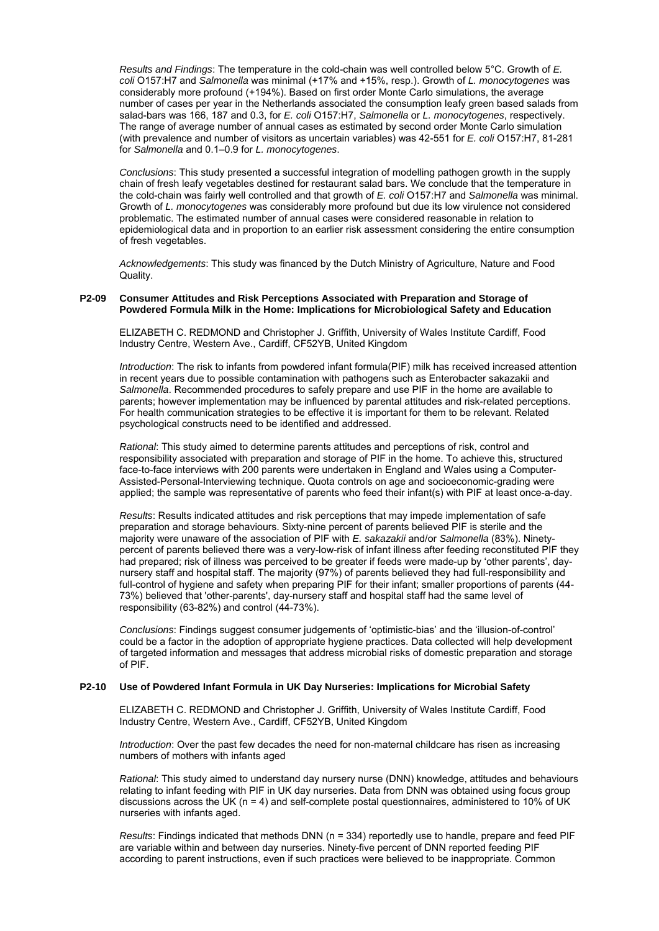*Results and Findings*: The temperature in the cold-chain was well controlled below 5°C. Growth of *E. coli* O157:H7 and *Salmonella* was minimal (+17% and +15%, resp.). Growth of *L. monocytogenes* was considerably more profound (+194%). Based on first order Monte Carlo simulations, the average number of cases per year in the Netherlands associated the consumption leafy green based salads from salad-bars was 166, 187 and 0.3, for *E. coli* O157:H7, *Salmonella* or *L. monocytogenes*, respectively. The range of average number of annual cases as estimated by second order Monte Carlo simulation (with prevalence and number of visitors as uncertain variables) was 42-551 for *E. coli* O157:H7, 81-281 for *Salmonella* and 0.1–0.9 for *L. monocytogenes*.

*Conclusions*: This study presented a successful integration of modelling pathogen growth in the supply chain of fresh leafy vegetables destined for restaurant salad bars. We conclude that the temperature in the cold-chain was fairly well controlled and that growth of *E. coli* O157:H7 and *Salmonella* was minimal. Growth of *L. monocytogenes* was considerably more profound but due its low virulence not considered problematic. The estimated number of annual cases were considered reasonable in relation to epidemiological data and in proportion to an earlier risk assessment considering the entire consumption of fresh vegetables.

*Acknowledgements*: This study was financed by the Dutch Ministry of Agriculture, Nature and Food Quality.

## **P2-09 Consumer Attitudes and Risk Perceptions Associated with Preparation and Storage of Powdered Formula Milk in the Home: Implications for Microbiological Safety and Education**

ELIZABETH C. REDMOND and Christopher J. Griffith, University of Wales Institute Cardiff, Food Industry Centre, Western Ave., Cardiff, CF52YB, United Kingdom

*Introduction*: The risk to infants from powdered infant formula(PIF) milk has received increased attention in recent years due to possible contamination with pathogens such as Enterobacter sakazakii and *Salmonella*. Recommended procedures to safely prepare and use PIF in the home are available to parents; however implementation may be influenced by parental attitudes and risk-related perceptions. For health communication strategies to be effective it is important for them to be relevant. Related psychological constructs need to be identified and addressed.

*Rational*: This study aimed to determine parents attitudes and perceptions of risk, control and responsibility associated with preparation and storage of PIF in the home. To achieve this, structured face-to-face interviews with 200 parents were undertaken in England and Wales using a Computer-Assisted-Personal-Interviewing technique. Quota controls on age and socioeconomic-grading were applied; the sample was representative of parents who feed their infant(s) with PIF at least once-a-day.

*Results*: Results indicated attitudes and risk perceptions that may impede implementation of safe preparation and storage behaviours. Sixty-nine percent of parents believed PIF is sterile and the majority were unaware of the association of PIF with *E. sakazakii* and/or *Salmonella* (83%). Ninetypercent of parents believed there was a very-low-risk of infant illness after feeding reconstituted PIF they had prepared; risk of illness was perceived to be greater if feeds were made-up by 'other parents', daynursery staff and hospital staff. The majority (97%) of parents believed they had full-responsibility and full-control of hygiene and safety when preparing PIF for their infant; smaller proportions of parents (44- 73%) believed that 'other-parents', day-nursery staff and hospital staff had the same level of responsibility (63-82%) and control (44-73%).

*Conclusions*: Findings suggest consumer judgements of 'optimistic-bias' and the 'illusion-of-control' could be a factor in the adoption of appropriate hygiene practices. Data collected will help development of targeted information and messages that address microbial risks of domestic preparation and storage of PIF.

## **P2-10 Use of Powdered Infant Formula in UK Day Nurseries: Implications for Microbial Safety**

ELIZABETH C. REDMOND and Christopher J. Griffith, University of Wales Institute Cardiff, Food Industry Centre, Western Ave., Cardiff, CF52YB, United Kingdom

*Introduction*: Over the past few decades the need for non-maternal childcare has risen as increasing numbers of mothers with infants aged

*Rational*: This study aimed to understand day nursery nurse (DNN) knowledge, attitudes and behaviours relating to infant feeding with PIF in UK day nurseries. Data from DNN was obtained using focus group discussions across the UK (n = 4) and self-complete postal questionnaires, administered to 10% of UK nurseries with infants aged.

*Results*: Findings indicated that methods DNN (n = 334) reportedly use to handle, prepare and feed PIF are variable within and between day nurseries. Ninety-five percent of DNN reported feeding PIF according to parent instructions, even if such practices were believed to be inappropriate. Common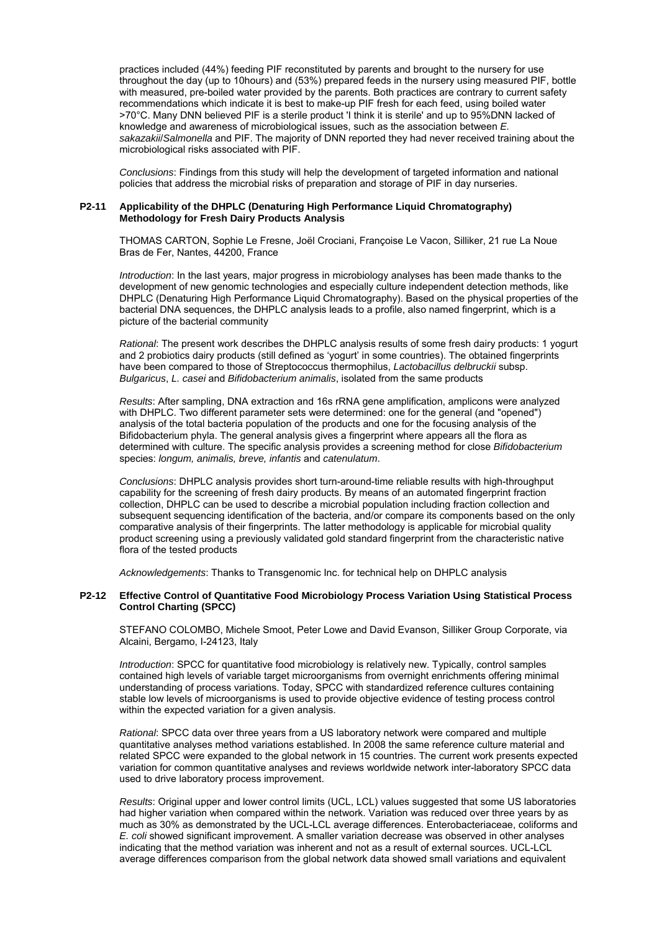practices included (44%) feeding PIF reconstituted by parents and brought to the nursery for use throughout the day (up to 10hours) and (53%) prepared feeds in the nursery using measured PIF, bottle with measured, pre-boiled water provided by the parents. Both practices are contrary to current safety recommendations which indicate it is best to make-up PIF fresh for each feed, using boiled water >70°C. Many DNN believed PIF is a sterile product 'I think it is sterile' and up to 95%DNN lacked of knowledge and awareness of microbiological issues, such as the association between *E. sakazakii*/*Salmonella* and PIF. The majority of DNN reported they had never received training about the microbiological risks associated with PIF.

*Conclusions*: Findings from this study will help the development of targeted information and national policies that address the microbial risks of preparation and storage of PIF in day nurseries.

#### **P2-11 Applicability of the DHPLC (Denaturing High Performance Liquid Chromatography) Methodology for Fresh Dairy Products Analysis**

THOMAS CARTON, Sophie Le Fresne, Joël Crociani, Françoise Le Vacon, Silliker, 21 rue La Noue Bras de Fer, Nantes, 44200, France

*Introduction*: In the last years, major progress in microbiology analyses has been made thanks to the development of new genomic technologies and especially culture independent detection methods, like DHPLC (Denaturing High Performance Liquid Chromatography). Based on the physical properties of the bacterial DNA sequences, the DHPLC analysis leads to a profile, also named fingerprint, which is a picture of the bacterial community

*Rational*: The present work describes the DHPLC analysis results of some fresh dairy products: 1 yogurt and 2 probiotics dairy products (still defined as 'yogurt' in some countries). The obtained fingerprints have been compared to those of Streptococcus thermophilus, *Lactobacillus delbruckii* subsp. *Bulgaricus*, *L. casei* and *Bifidobacterium animalis*, isolated from the same products

*Results*: After sampling, DNA extraction and 16s rRNA gene amplification, amplicons were analyzed with DHPLC. Two different parameter sets were determined: one for the general (and "opened") analysis of the total bacteria population of the products and one for the focusing analysis of the Bifidobacterium phyla. The general analysis gives a fingerprint where appears all the flora as determined with culture. The specific analysis provides a screening method for close *Bifidobacterium* species: *longum, animalis, breve, infantis* and *catenulatum*.

*Conclusions*: DHPLC analysis provides short turn-around-time reliable results with high-throughput capability for the screening of fresh dairy products. By means of an automated fingerprint fraction collection, DHPLC can be used to describe a microbial population including fraction collection and subsequent sequencing identification of the bacteria, and/or compare its components based on the only comparative analysis of their fingerprints. The latter methodology is applicable for microbial quality product screening using a previously validated gold standard fingerprint from the characteristic native flora of the tested products

*Acknowledgements*: Thanks to Transgenomic Inc. for technical help on DHPLC analysis

#### **P2-12 Effective Control of Quantitative Food Microbiology Process Variation Using Statistical Process Control Charting (SPCC)**

STEFANO COLOMBO, Michele Smoot, Peter Lowe and David Evanson, Silliker Group Corporate, via Alcaini, Bergamo, I-24123, Italy

*Introduction*: SPCC for quantitative food microbiology is relatively new. Typically, control samples contained high levels of variable target microorganisms from overnight enrichments offering minimal understanding of process variations. Today, SPCC with standardized reference cultures containing stable low levels of microorganisms is used to provide objective evidence of testing process control within the expected variation for a given analysis.

*Rational*: SPCC data over three years from a US laboratory network were compared and multiple quantitative analyses method variations established. In 2008 the same reference culture material and related SPCC were expanded to the global network in 15 countries. The current work presents expected variation for common quantitative analyses and reviews worldwide network inter-laboratory SPCC data used to drive laboratory process improvement.

*Results*: Original upper and lower control limits (UCL, LCL) values suggested that some US laboratories had higher variation when compared within the network. Variation was reduced over three years by as much as 30% as demonstrated by the UCL-LCL average differences. Enterobacteriaceae, coliforms and *E. coli* showed significant improvement. A smaller variation decrease was observed in other analyses indicating that the method variation was inherent and not as a result of external sources. UCL-LCL average differences comparison from the global network data showed small variations and equivalent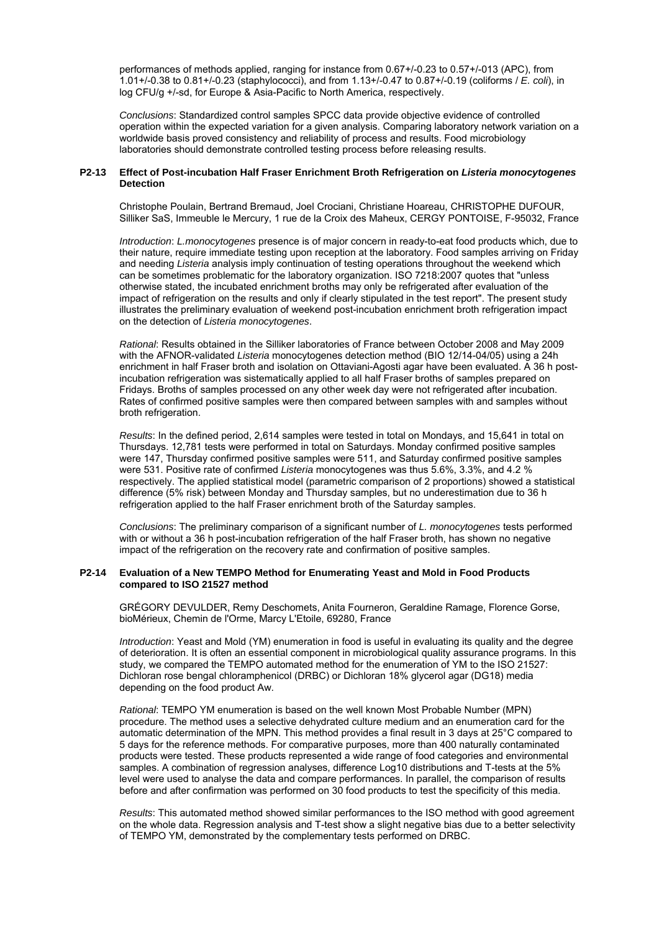performances of methods applied, ranging for instance from 0.67+/-0.23 to 0.57+/-013 (APC), from 1.01+/-0.38 to 0.81+/-0.23 (staphylococci), and from 1.13+/-0.47 to 0.87+/-0.19 (coliforms / *E. coli*), in log CFU/g +/-sd, for Europe & Asia-Pacific to North America, respectively.

*Conclusions*: Standardized control samples SPCC data provide objective evidence of controlled operation within the expected variation for a given analysis. Comparing laboratory network variation on a worldwide basis proved consistency and reliability of process and results. Food microbiology laboratories should demonstrate controlled testing process before releasing results.

## **P2-13 Effect of Post-incubation Half Fraser Enrichment Broth Refrigeration on** *Listeria monocytogenes*  **Detection**

Christophe Poulain, Bertrand Bremaud, Joel Crociani, Christiane Hoareau, CHRISTOPHE DUFOUR, Silliker SaS, Immeuble le Mercury, 1 rue de la Croix des Maheux, CERGY PONTOISE, F-95032, France

*Introduction*: *L.monocytogenes* presence is of major concern in ready-to-eat food products which, due to their nature, require immediate testing upon reception at the laboratory. Food samples arriving on Friday and needing *Listeria* analysis imply continuation of testing operations throughout the weekend which can be sometimes problematic for the laboratory organization. ISO 7218:2007 quotes that "unless otherwise stated, the incubated enrichment broths may only be refrigerated after evaluation of the impact of refrigeration on the results and only if clearly stipulated in the test report". The present study illustrates the preliminary evaluation of weekend post-incubation enrichment broth refrigeration impact on the detection of *Listeria monocytogenes*.

*Rational*: Results obtained in the Silliker laboratories of France between October 2008 and May 2009 with the AFNOR-validated *Listeria* monocytogenes detection method (BIO 12/14-04/05) using a 24h enrichment in half Fraser broth and isolation on Ottaviani-Agosti agar have been evaluated. A 36 h postincubation refrigeration was sistematically applied to all half Fraser broths of samples prepared on Fridays. Broths of samples processed on any other week day were not refrigerated after incubation. Rates of confirmed positive samples were then compared between samples with and samples without broth refrigeration.

*Results*: In the defined period, 2,614 samples were tested in total on Mondays, and 15,641 in total on Thursdays. 12,781 tests were performed in total on Saturdays. Monday confirmed positive samples were 147, Thursday confirmed positive samples were 511, and Saturday confirmed positive samples were 531. Positive rate of confirmed *Listeria* monocytogenes was thus 5.6%, 3.3%, and 4.2 % respectively. The applied statistical model (parametric comparison of 2 proportions) showed a statistical difference (5% risk) between Monday and Thursday samples, but no underestimation due to 36 h refrigeration applied to the half Fraser enrichment broth of the Saturday samples.

*Conclusions*: The preliminary comparison of a significant number of *L. monocytogenes* tests performed with or without a 36 h post-incubation refrigeration of the half Fraser broth, has shown no negative impact of the refrigeration on the recovery rate and confirmation of positive samples.

#### **P2-14 Evaluation of a New TEMPO Method for Enumerating Yeast and Mold in Food Products compared to ISO 21527 method**

GRÉGORY DEVULDER, Remy Deschomets, Anita Fourneron, Geraldine Ramage, Florence Gorse, bioMérieux, Chemin de l'Orme, Marcy L'Etoile, 69280, France

*Introduction*: Yeast and Mold (YM) enumeration in food is useful in evaluating its quality and the degree of deterioration. It is often an essential component in microbiological quality assurance programs. In this study, we compared the TEMPO automated method for the enumeration of YM to the ISO 21527: Dichloran rose bengal chloramphenicol (DRBC) or Dichloran 18% glycerol agar (DG18) media depending on the food product Aw.

*Rational*: TEMPO YM enumeration is based on the well known Most Probable Number (MPN) procedure. The method uses a selective dehydrated culture medium and an enumeration card for the automatic determination of the MPN. This method provides a final result in 3 days at 25°C compared to 5 days for the reference methods. For comparative purposes, more than 400 naturally contaminated products were tested. These products represented a wide range of food categories and environmental samples. A combination of regression analyses, difference Log10 distributions and T-tests at the 5% level were used to analyse the data and compare performances. In parallel, the comparison of results before and after confirmation was performed on 30 food products to test the specificity of this media.

*Results*: This automated method showed similar performances to the ISO method with good agreement on the whole data. Regression analysis and T-test show a slight negative bias due to a better selectivity of TEMPO YM, demonstrated by the complementary tests performed on DRBC.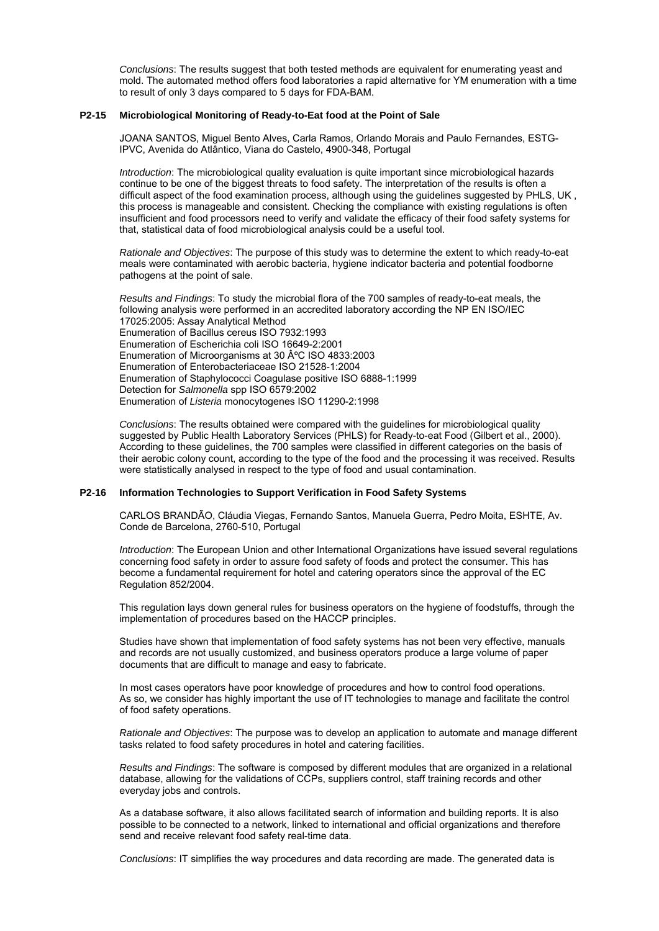*Conclusions*: The results suggest that both tested methods are equivalent for enumerating yeast and mold. The automated method offers food laboratories a rapid alternative for YM enumeration with a time to result of only 3 days compared to 5 days for FDA-BAM.

#### **P2-15 Microbiological Monitoring of Ready-to-Eat food at the Point of Sale**

JOANA SANTOS, Miguel Bento Alves, Carla Ramos, Orlando Morais and Paulo Fernandes, ESTG- IPVC, Avenida do Atlântico, Viana do Castelo, 4900-348, Portugal

*Introduction*: The microbiological quality evaluation is quite important since microbiological hazards continue to be one of the biggest threats to food safety. The interpretation of the results is often a difficult aspect of the food examination process, although using the guidelines suggested by PHLS, UK , this process is manageable and consistent. Checking the compliance with existing regulations is often insufficient and food processors need to verify and validate the efficacy of their food safety systems for that, statistical data of food microbiological analysis could be a useful tool.

*Rationale and Objectives*: The purpose of this study was to determine the extent to which ready-to-eat meals were contaminated with aerobic bacteria, hygiene indicator bacteria and potential foodborne pathogens at the point of sale.

*Results and Findings*: To study the microbial flora of the 700 samples of ready-to-eat meals, the following analysis were performed in an accredited laboratory according the NP EN ISO/IEC 17025:2005: Assay Analytical Method Enumeration of Bacillus cereus ISO 7932:1993 Enumeration of Escherichia coli ISO 16649-2:2001 Enumeration of Microorganisms at 30 °C ISO 4833:2003 Enumeration of Enterobacteriaceae ISO 21528-1:2004 Enumeration of Staphylococci Coagulase positive ISO 6888-1:1999 Detection for *Salmonella* spp ISO 6579:2002 Enumeration of *Listeria* monocytogenes ISO 11290-2:1998

*Conclusions*: The results obtained were compared with the guidelines for microbiological quality suggested by Public Health Laboratory Services (PHLS) for Ready-to-eat Food (Gilbert et al., 2000). According to these guidelines, the 700 samples were classified in different categories on the basis of their aerobic colony count, according to the type of the food and the processing it was received. Results were statistically analysed in respect to the type of food and usual contamination.

## **P2-16 Information Technologies to Support Verification in Food Safety Systems**

CARLOS BRANDÃO, Cláudia Viegas, Fernando Santos, Manuela Guerra, Pedro Moita, ESHTE, Av. Conde de Barcelona, 2760-510, Portugal

*Introduction*: The European Union and other International Organizations have issued several regulations concerning food safety in order to assure food safety of foods and protect the consumer. This has become a fundamental requirement for hotel and catering operators since the approval of the EC Regulation 852/2004.

This regulation lays down general rules for business operators on the hygiene of foodstuffs, through the implementation of procedures based on the HACCP principles.

Studies have shown that implementation of food safety systems has not been very effective, manuals and records are not usually customized, and business operators produce a large volume of paper documents that are difficult to manage and easy to fabricate.

In most cases operators have poor knowledge of procedures and how to control food operations. As so, we consider has highly important the use of IT technologies to manage and facilitate the control of food safety operations.

*Rationale and Objectives*: The purpose was to develop an application to automate and manage different tasks related to food safety procedures in hotel and catering facilities.

*Results and Findings*: The software is composed by different modules that are organized in a relational database, allowing for the validations of CCPs, suppliers control, staff training records and other everyday jobs and controls.

As a database software, it also allows facilitated search of information and building reports. It is also possible to be connected to a network, linked to international and official organizations and therefore send and receive relevant food safety real-time data.

*Conclusions*: IT simplifies the way procedures and data recording are made. The generated data is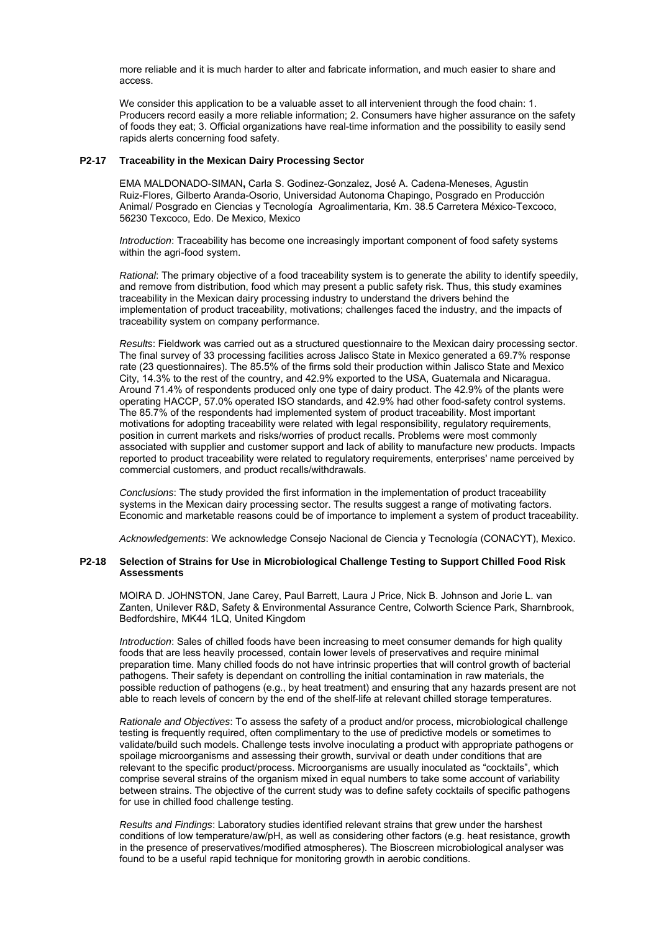more reliable and it is much harder to alter and fabricate information, and much easier to share and access.

We consider this application to be a valuable asset to all intervenient through the food chain: 1. Producers record easily a more reliable information; 2. Consumers have higher assurance on the safety of foods they eat; 3. Official organizations have real-time information and the possibility to easily send rapids alerts concerning food safety.

#### **P2-17 Traceability in the Mexican Dairy Processing Sector**

EMA MALDONADO-SIMAN**,** Carla S. Godinez-Gonzalez, José A. Cadena-Meneses, Agustin Ruiz-Flores, Gilberto Aranda-Osorio, Universidad Autonoma Chapingo, Posgrado en Producción Animal/ Posgrado en Ciencias y Tecnología Agroalimentaria, Km. 38.5 Carretera México-Texcoco, 56230 Texcoco, Edo. De Mexico, Mexico

*Introduction*: Traceability has become one increasingly important component of food safety systems within the agri-food system.

*Rational*: The primary objective of a food traceability system is to generate the ability to identify speedily, and remove from distribution, food which may present a public safety risk. Thus, this study examines traceability in the Mexican dairy processing industry to understand the drivers behind the implementation of product traceability, motivations; challenges faced the industry, and the impacts of traceability system on company performance.

*Results*: Fieldwork was carried out as a structured questionnaire to the Mexican dairy processing sector. The final survey of 33 processing facilities across Jalisco State in Mexico generated a 69.7% response rate (23 questionnaires). The 85.5% of the firms sold their production within Jalisco State and Mexico City, 14.3% to the rest of the country, and 42.9% exported to the USA, Guatemala and Nicaragua. Around 71.4% of respondents produced only one type of dairy product. The 42.9% of the plants were operating HACCP, 57.0% operated ISO standards, and 42.9% had other food-safety control systems. The 85.7% of the respondents had implemented system of product traceability. Most important motivations for adopting traceability were related with legal responsibility, regulatory requirements, position in current markets and risks/worries of product recalls. Problems were most commonly associated with supplier and customer support and lack of ability to manufacture new products. Impacts reported to product traceability were related to regulatory requirements, enterprises' name perceived by commercial customers, and product recalls/withdrawals.

*Conclusions*: The study provided the first information in the implementation of product traceability systems in the Mexican dairy processing sector. The results suggest a range of motivating factors. Economic and marketable reasons could be of importance to implement a system of product traceability.

*Acknowledgements*: We acknowledge Consejo Nacional de Ciencia y Tecnología (CONACYT), Mexico.

#### **P2-18 Selection of Strains for Use in Microbiological Challenge Testing to Support Chilled Food Risk Assessments**

MOIRA D. JOHNSTON, Jane Carey, Paul Barrett, Laura J Price, Nick B. Johnson and Jorie L. van Zanten, Unilever R&D, Safety & Environmental Assurance Centre, Colworth Science Park, Sharnbrook, Bedfordshire, MK44 1LQ, United Kingdom

*Introduction*: Sales of chilled foods have been increasing to meet consumer demands for high quality foods that are less heavily processed, contain lower levels of preservatives and require minimal preparation time. Many chilled foods do not have intrinsic properties that will control growth of bacterial pathogens. Their safety is dependant on controlling the initial contamination in raw materials, the possible reduction of pathogens (e.g., by heat treatment) and ensuring that any hazards present are not able to reach levels of concern by the end of the shelf-life at relevant chilled storage temperatures.

*Rationale and Objectives*: To assess the safety of a product and/or process, microbiological challenge testing is frequently required, often complimentary to the use of predictive models or sometimes to validate/build such models. Challenge tests involve inoculating a product with appropriate pathogens or spoilage microorganisms and assessing their growth, survival or death under conditions that are relevant to the specific product/process. Microorganisms are usually inoculated as "cocktails", which comprise several strains of the organism mixed in equal numbers to take some account of variability between strains. The objective of the current study was to define safety cocktails of specific pathogens for use in chilled food challenge testing.

*Results and Findings*: Laboratory studies identified relevant strains that grew under the harshest conditions of low temperature/aw/pH, as well as considering other factors (e.g. heat resistance, growth in the presence of preservatives/modified atmospheres). The Bioscreen microbiological analyser was found to be a useful rapid technique for monitoring growth in aerobic conditions.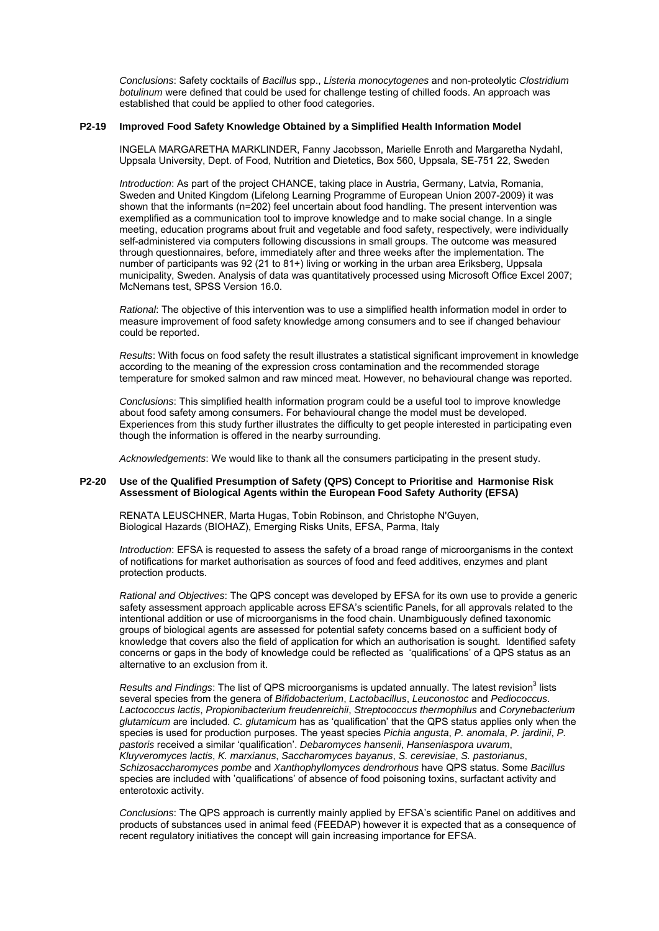*Conclusions*: Safety cocktails of *Bacillus* spp., *Listeria monocytogenes* and non-proteolytic *Clostridium botulinum* were defined that could be used for challenge testing of chilled foods. An approach was established that could be applied to other food categories.

#### **P2-19 Improved Food Safety Knowledge Obtained by a Simplified Health Information Model**

INGELA MARGARETHA MARKLINDER, Fanny Jacobsson, Marielle Enroth and Margaretha Nydahl, Uppsala University, Dept. of Food, Nutrition and Dietetics, Box 560, Uppsala, SE-751 22, Sweden

*Introduction*: As part of the project CHANCE, taking place in Austria, Germany, Latvia, Romania, Sweden and United Kingdom (Lifelong Learning Programme of European Union 2007-2009) it was shown that the informants (n=202) feel uncertain about food handling. The present intervention was exemplified as a communication tool to improve knowledge and to make social change. In a single meeting, education programs about fruit and vegetable and food safety, respectively, were individually self-administered via computers following discussions in small groups. The outcome was measured through questionnaires, before, immediately after and three weeks after the implementation. The number of participants was 92 (21 to 81+) living or working in the urban area Eriksberg, Uppsala municipality, Sweden. Analysis of data was quantitatively processed using Microsoft Office Excel 2007; McNemans test, SPSS Version 16.0.

*Rational*: The objective of this intervention was to use a simplified health information model in order to measure improvement of food safety knowledge among consumers and to see if changed behaviour could be reported.

*Results*: With focus on food safety the result illustrates a statistical significant improvement in knowledge according to the meaning of the expression cross contamination and the recommended storage temperature for smoked salmon and raw minced meat. However, no behavioural change was reported.

*Conclusions*: This simplified health information program could be a useful tool to improve knowledge about food safety among consumers. For behavioural change the model must be developed. Experiences from this study further illustrates the difficulty to get people interested in participating even though the information is offered in the nearby surrounding.

*Acknowledgements*: We would like to thank all the consumers participating in the present study.

## **P2-20 Use of the Qualified Presumption of Safety (QPS) Concept to Prioritise and Harmonise Risk Assessment of Biological Agents within the European Food Safety Authority (EFSA)**

RENATA LEUSCHNER, Marta Hugas, Tobin Robinson, and Christophe N'Guyen, Biological Hazards (BIOHAZ), Emerging Risks Units, EFSA, Parma, Italy

*Introduction*: EFSA is requested to assess the safety of a broad range of microorganisms in the context of notifications for market authorisation as sources of food and feed additives, enzymes and plant protection products.

*Rational and Objectives*: The QPS concept was developed by EFSA for its own use to provide a generic safety assessment approach applicable across EFSA's scientific Panels, for all approvals related to the intentional addition or use of microorganisms in the food chain. Unambiguously defined taxonomic groups of biological agents are assessed for potential safety concerns based on a sufficient body of knowledge that covers also the field of application for which an authorisation is sought. Identified safety concerns or gaps in the body of knowledge could be reflected as 'qualifications' of a QPS status as an alternative to an exclusion from it.

Results and Findings: The list of QPS microorganisms is updated annually. The latest revision<sup>3</sup> lists several species from the genera of *Bifidobacterium*, *Lactobacillus*, *Leuconostoc* and *Pediococcus*. *Lactococcus lactis*, *Propionibacterium freudenreichii*, *Streptococcus thermophilus* and *Corynebacterium glutamicum* are included. *C. glutamicum* has as 'qualification' that the QPS status applies only when the species is used for production purposes. The yeast species *Pichia angusta*, *P. anomala*, *P. jardinii*, *P. pastoris* received a similar 'qualification'. *Debaromyces hansenii*, *Hanseniaspora uvarum*, *Kluyveromyces lactis*, *K. marxianus*, *Saccharomyces bayanus*, *S. cerevisiae*, *S. pastorianus*, *Schizosaccharomyces pombe* and *Xanthophyllomyces dendrorhous* have QPS status. Some *Bacillus*  species are included with 'qualifications' of absence of food poisoning toxins, surfactant activity and enterotoxic activity.

*Conclusions*: The QPS approach is currently mainly applied by EFSA's scientific Panel on additives and products of substances used in animal feed (FEEDAP) however it is expected that as a consequence of recent regulatory initiatives the concept will gain increasing importance for EFSA.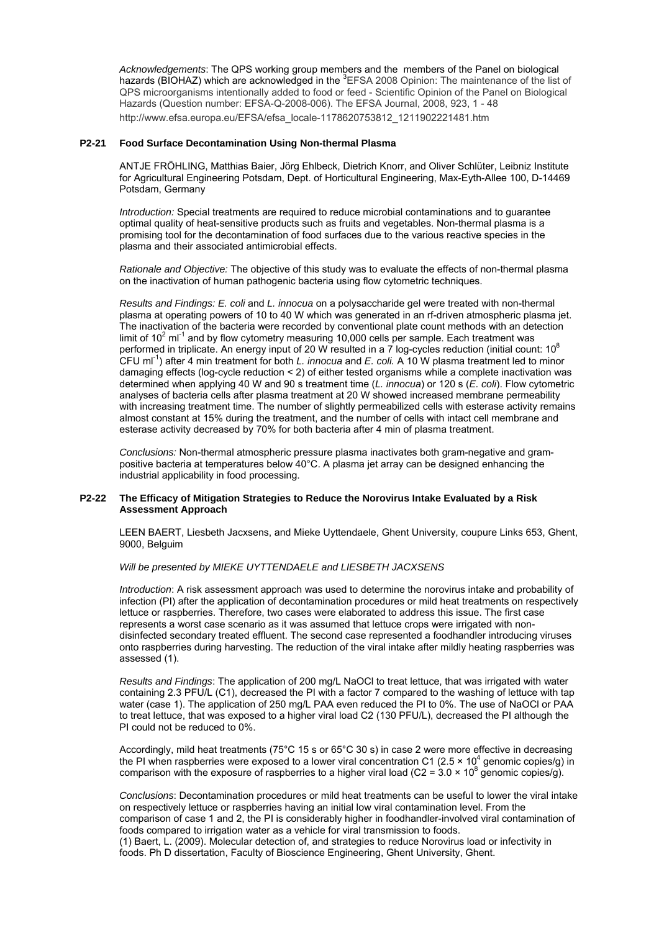*Acknowledgements*: The QPS working group members and the members of the Panel on biological hazards (BIOHAZ) which are acknowledged in the <sup>3</sup>EFSA 2008 Opinion: The maintenance of the list of QPS microorganisms intentionally added to food or feed - Scientific Opinion of the Panel on Biological Hazards (Question number: EFSA-Q-2008-006). The EFSA Journal, 2008, 923, 1 - 48 http://www.efsa.europa.eu/EFSA/efsa\_locale-1178620753812\_1211902221481.htm

# **P2-21 Food Surface Decontamination Using Non-thermal Plasma**

ANTJE FRÖHLING, Matthias Baier, Jörg Ehlbeck, Dietrich Knorr, and Oliver Schlüter, Leibniz Institute for Agricultural Engineering Potsdam, Dept. of Horticultural Engineering, Max-Eyth-Allee 100, D-14469 Potsdam, Germany

*Introduction:* Special treatments are required to reduce microbial contaminations and to guarantee optimal quality of heat-sensitive products such as fruits and vegetables. Non-thermal plasma is a promising tool for the decontamination of food surfaces due to the various reactive species in the plasma and their associated antimicrobial effects.

*Rationale and Objective:* The objective of this study was to evaluate the effects of non-thermal plasma on the inactivation of human pathogenic bacteria using flow cytometric techniques.

*Results and Findings: E. coli* and *L. innocua* on a polysaccharide gel were treated with non-thermal plasma at operating powers of 10 to 40 W which was generated in an rf-driven atmospheric plasma jet. The inactivation of the bacteria were recorded by conventional plate count methods with an detection limit of  $10^2$  ml<sup>-1</sup> and by flow cytometry measuring 10,000 cells per sample. Each treatment was performed in triplicate. An energy input of 20 W resulted in a 7 log-cycles reduction (initial count: 10<sup>8</sup>) CFU ml-1) after 4 min treatment for both *L. innocua* and *E. coli.* A 10 W plasma treatment led to minor damaging effects (log-cycle reduction < 2) of either tested organisms while a complete inactivation was determined when applying 40 W and 90 s treatment time (*L. innocua*) or 120 s (*E. coli*). Flow cytometric analyses of bacteria cells after plasma treatment at 20 W showed increased membrane permeability with increasing treatment time. The number of slightly permeabilized cells with esterase activity remains almost constant at 15% during the treatment, and the number of cells with intact cell membrane and esterase activity decreased by 70% for both bacteria after 4 min of plasma treatment.

*Conclusions:* Non-thermal atmospheric pressure plasma inactivates both gram-negative and grampositive bacteria at temperatures below 40°C. A plasma jet array can be designed enhancing the industrial applicability in food processing.

#### **P2-22 The Efficacy of Mitigation Strategies to Reduce the Norovirus Intake Evaluated by a Risk Assessment Approach**

LEEN BAERT, Liesbeth Jacxsens, and Mieke Uyttendaele, Ghent University, coupure Links 653, Ghent, 9000, Belguim

#### *Will be presented by MIEKE UYTTENDAELE and LIESBETH JACXSENS*

*Introduction*: A risk assessment approach was used to determine the norovirus intake and probability of infection (PI) after the application of decontamination procedures or mild heat treatments on respectively lettuce or raspberries. Therefore, two cases were elaborated to address this issue. The first case represents a worst case scenario as it was assumed that lettuce crops were irrigated with nondisinfected secondary treated effluent. The second case represented a foodhandler introducing viruses onto raspberries during harvesting. The reduction of the viral intake after mildly heating raspberries was assessed (1).

*Results and Findings*: The application of 200 mg/L NaOCl to treat lettuce, that was irrigated with water containing 2.3 PFU/L (C1), decreased the PI with a factor 7 compared to the washing of lettuce with tap water (case 1). The application of 250 mg/L PAA even reduced the PI to 0%. The use of NaOCl or PAA to treat lettuce, that was exposed to a higher viral load C2 (130 PFU/L), decreased the PI although the PI could not be reduced to 0%.

Accordingly, mild heat treatments (75°C 15 s or 65°C 30 s) in case 2 were more effective in decreasing the PI when raspberries were exposed to a lower viral concentration C1 (2.5  $\times$  10<sup>4</sup> genomic copies/g) in comparison with the exposure of raspberries to a higher viral load (C2 =  $3.0 \times 10^8$  genomic copies/g).

*Conclusions*: Decontamination procedures or mild heat treatments can be useful to lower the viral intake on respectively lettuce or raspberries having an initial low viral contamination level. From the comparison of case 1 and 2, the PI is considerably higher in foodhandler-involved viral contamination of foods compared to irrigation water as a vehicle for viral transmission to foods. (1) Baert, L. (2009). Molecular detection of, and strategies to reduce Norovirus load or infectivity in

foods. Ph D dissertation, Faculty of Bioscience Engineering, Ghent University, Ghent.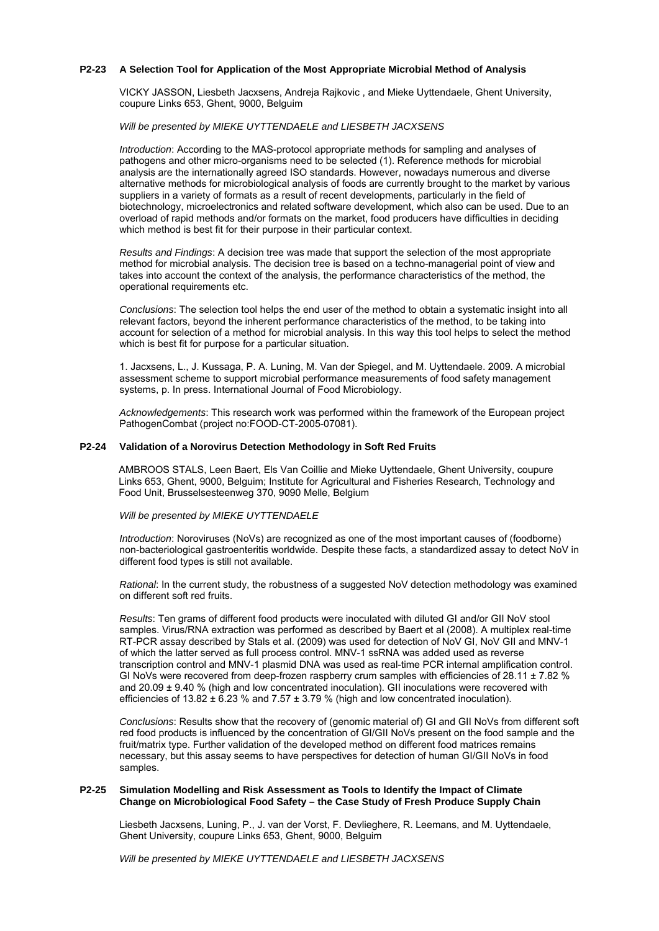# **P2-23 A Selection Tool for Application of the Most Appropriate Microbial Method of Analysis**

VICKY JASSON, Liesbeth Jacxsens, Andreja Rajkovic , and Mieke Uyttendaele, Ghent University, coupure Links 653, Ghent, 9000, Belguim

*Will be presented by MIEKE UYTTENDAELE and LIESBETH JACXSENS* 

*Introduction*: According to the MAS-protocol appropriate methods for sampling and analyses of pathogens and other micro-organisms need to be selected (1). Reference methods for microbial analysis are the internationally agreed ISO standards. However, nowadays numerous and diverse alternative methods for microbiological analysis of foods are currently brought to the market by various suppliers in a variety of formats as a result of recent developments, particularly in the field of biotechnology, microelectronics and related software development, which also can be used. Due to an overload of rapid methods and/or formats on the market, food producers have difficulties in deciding which method is best fit for their purpose in their particular context.

*Results and Findings*: A decision tree was made that support the selection of the most appropriate method for microbial analysis. The decision tree is based on a techno-managerial point of view and takes into account the context of the analysis, the performance characteristics of the method, the operational requirements etc.

*Conclusions*: The selection tool helps the end user of the method to obtain a systematic insight into all relevant factors, beyond the inherent performance characteristics of the method, to be taking into account for selection of a method for microbial analysis. In this way this tool helps to select the method which is best fit for purpose for a particular situation.

1. Jacxsens, L., J. Kussaga, P. A. Luning, M. Van der Spiegel, and M. Uyttendaele. 2009. A microbial assessment scheme to support microbial performance measurements of food safety management systems, p. In press. International Journal of Food Microbiology.

*Acknowledgements*: This research work was performed within the framework of the European project PathogenCombat (project no:FOOD-CT-2005-07081).

#### **P2-24 Validation of a Norovirus Detection Methodology in Soft Red Fruits**

AMBROOS STALS, Leen Baert, Els Van Coillie and Mieke Uyttendaele, Ghent University, coupure Links 653, Ghent, 9000, Belguim; Institute for Agricultural and Fisheries Research, Technology and Food Unit, Brusselsesteenweg 370, 9090 Melle, Belgium

#### *Will be presented by MIEKE UYTTENDAELE*

*Introduction*: Noroviruses (NoVs) are recognized as one of the most important causes of (foodborne) non-bacteriological gastroenteritis worldwide. Despite these facts, a standardized assay to detect NoV in different food types is still not available.

*Rational*: In the current study, the robustness of a suggested NoV detection methodology was examined on different soft red fruits.

*Results*: Ten grams of different food products were inoculated with diluted GI and/or GII NoV stool samples. Virus/RNA extraction was performed as described by Baert et al (2008). A multiplex real-time RT-PCR assay described by Stals et al. (2009) was used for detection of NoV GI, NoV GII and MNV-1 of which the latter served as full process control. MNV-1 ssRNA was added used as reverse transcription control and MNV-1 plasmid DNA was used as real-time PCR internal amplification control. GI NoVs were recovered from deep-frozen raspberry crum samples with efficiencies of 28.11  $\pm$  7.82 % and 20.09 ± 9.40 % (high and low concentrated inoculation). GII inoculations were recovered with efficiencies of  $13.82 \pm 6.23$  % and  $7.57 \pm 3.79$  % (high and low concentrated inoculation).

*Conclusions*: Results show that the recovery of (genomic material of) GI and GII NoVs from different soft red food products is influenced by the concentration of GI/GII NoVs present on the food sample and the fruit/matrix type. Further validation of the developed method on different food matrices remains necessary, but this assay seems to have perspectives for detection of human GI/GII NoVs in food samples.

#### **P2-25 Simulation Modelling and Risk Assessment as Tools to Identify the Impact of Climate Change on Microbiological Food Safety – the Case Study of Fresh Produce Supply Chain**

Liesbeth Jacxsens, Luning, P., J. van der Vorst, F. Devlieghere, R. Leemans, and M. Uyttendaele, Ghent University, coupure Links 653, Ghent, 9000, Belguim

*Will be presented by MIEKE UYTTENDAELE and LIESBETH JACXSENS*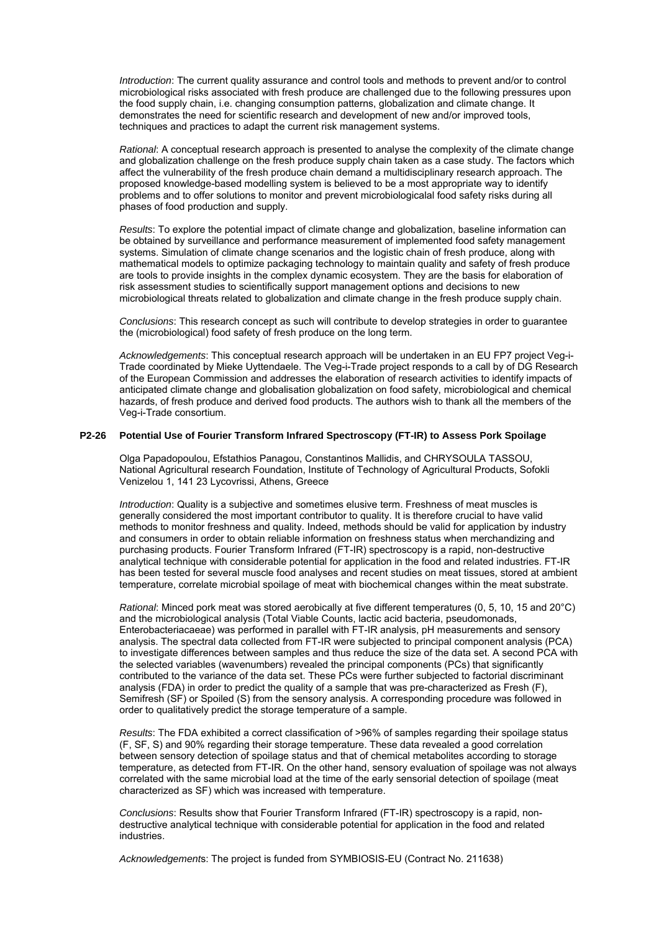*Introduction*: The current quality assurance and control tools and methods to prevent and/or to control microbiological risks associated with fresh produce are challenged due to the following pressures upon the food supply chain, i.e. changing consumption patterns, globalization and climate change. It demonstrates the need for scientific research and development of new and/or improved tools, techniques and practices to adapt the current risk management systems.

*Rational*: A conceptual research approach is presented to analyse the complexity of the climate change and globalization challenge on the fresh produce supply chain taken as a case study. The factors which affect the vulnerability of the fresh produce chain demand a multidisciplinary research approach. The proposed knowledge-based modelling system is believed to be a most appropriate way to identify problems and to offer solutions to monitor and prevent microbiologicalal food safety risks during all phases of food production and supply.

*Results*: To explore the potential impact of climate change and globalization, baseline information can be obtained by surveillance and performance measurement of implemented food safety management systems. Simulation of climate change scenarios and the logistic chain of fresh produce, along with mathematical models to optimize packaging technology to maintain quality and safety of fresh produce are tools to provide insights in the complex dynamic ecosystem. They are the basis for elaboration of risk assessment studies to scientifically support management options and decisions to new microbiological threats related to globalization and climate change in the fresh produce supply chain.

*Conclusions*: This research concept as such will contribute to develop strategies in order to guarantee the (microbiological) food safety of fresh produce on the long term.

*Acknowledgements*: This conceptual research approach will be undertaken in an EU FP7 project Veg-i-Trade coordinated by Mieke Uyttendaele. The Veg-i-Trade project responds to a call by of DG Research of the European Commission and addresses the elaboration of research activities to identify impacts of anticipated climate change and globalisation globalization on food safety, microbiological and chemical hazards, of fresh produce and derived food products. The authors wish to thank all the members of the Veg-i-Trade consortium.

#### **P2-26 Potential Use of Fourier Transform Infrared Spectroscopy (FT-IR) to Assess Pork Spoilage**

Olga Papadopoulou, Efstathios Panagou, Constantinos Mallidis, and CHRYSOULA TASSOU, National Agricultural research Foundation, Institute of Technology of Agricultural Products, Sofokli Venizelou 1, 141 23 Lycovrissi, Athens, Greece

*Introduction:* Quality is a subjective and sometimes elusive term. Freshness of meat muscles is generally considered the most important contributor to quality. It is therefore crucial to have valid methods to monitor freshness and quality. Indeed, methods should be valid for application by industry and consumers in order to obtain reliable information on freshness status when merchandizing and purchasing products. Fourier Transform Infrared (FT-IR) spectroscopy is a rapid, non-destructive analytical technique with considerable potential for application in the food and related industries. FT-IR has been tested for several muscle food analyses and recent studies on meat tissues, stored at ambient temperature, correlate microbial spoilage of meat with biochemical changes within the meat substrate.

*Rational*: Minced pork meat was stored aerobically at five different temperatures (0, 5, 10, 15 and 20°C) and the microbiological analysis (Total Viable Counts, lactic acid bacteria, pseudomonads, Enterobacteriacaeae) was performed in parallel with FT-IR analysis, pH measurements and sensory analysis. The spectral data collected from FT-IR were subjected to principal component analysis (PCA) to investigate differences between samples and thus reduce the size of the data set. A second PCA with the selected variables (wavenumbers) revealed the principal components (PCs) that significantly contributed to the variance of the data set. These PCs were further subjected to factorial discriminant analysis (FDA) in order to predict the quality of a sample that was pre-characterized as Fresh (F), Semifresh (SF) or Spoiled (S) from the sensory analysis. A corresponding procedure was followed in order to qualitatively predict the storage temperature of a sample.

*Results*: The FDA exhibited a correct classification of >96% of samples regarding their spoilage status (F, SF, S) and 90% regarding their storage temperature. These data revealed a good correlation between sensory detection of spoilage status and that of chemical metabolites according to storage temperature, as detected from FT-IR. On the other hand, sensory evaluation of spoilage was not always correlated with the same microbial load at the time of the early sensorial detection of spoilage (meat characterized as SF) which was increased with temperature.

*Conclusions*: Results show that Fourier Transform Infrared (FT-IR) spectroscopy is a rapid, nondestructive analytical technique with considerable potential for application in the food and related industries.

*Acknowledgement*s: The project is funded from SYMBIOSIS-EU (Contract No. 211638)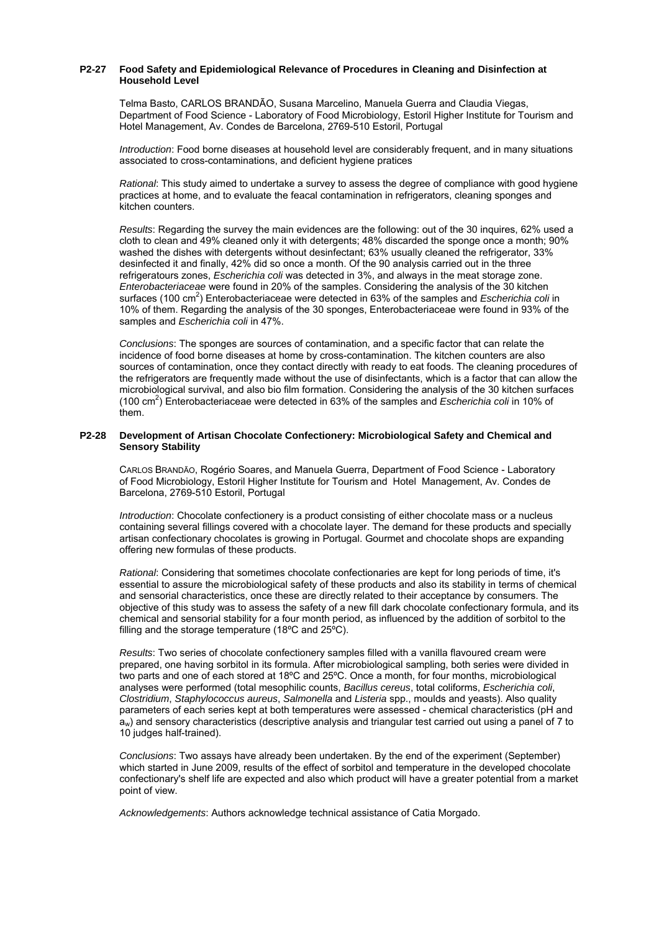## **P2-27 Food Safety and Epidemiological Relevance of Procedures in Cleaning and Disinfection at Household Level**

Telma Basto, CARLOS BRANDÃO, Susana Marcelino, Manuela Guerra and Claudia Viegas, Department of Food Science - Laboratory of Food Microbiology, Estoril Higher Institute for Tourism and Hotel Management, Av. Condes de Barcelona, 2769-510 Estoril, Portugal

*Introduction*: Food borne diseases at household level are considerably frequent, and in many situations associated to cross-contaminations, and deficient hygiene pratices

*Rational*: This study aimed to undertake a survey to assess the degree of compliance with good hygiene practices at home, and to evaluate the feacal contamination in refrigerators, cleaning sponges and kitchen counters.

*Results*: Regarding the survey the main evidences are the following: out of the 30 inquires, 62% used a cloth to clean and 49% cleaned only it with detergents; 48% discarded the sponge once a month; 90% washed the dishes with detergents without desinfectant; 63% usually cleaned the refrigerator, 33% desinfected it and finally, 42% did so once a month. Of the 90 analysis carried out in the three refrigeratours zones, *Escherichia coli* was detected in 3%, and always in the meat storage zone. *Enterobacteriaceae* were found in 20% of the samples. Considering the analysis of the 30 kitchen surfaces (100 cm<sup>2</sup>) Enterobacteriaceae were detected in 63% of the samples and *Escherichia coli* in 10% of them. Regarding the analysis of the 30 sponges, Enterobacteriaceae were found in 93% of the samples and *Escherichia coli* in 47%.

*Conclusions*: The sponges are sources of contamination, and a specific factor that can relate the incidence of food borne diseases at home by cross-contamination. The kitchen counters are also sources of contamination, once they contact directly with ready to eat foods. The cleaning procedures of the refrigerators are frequently made without the use of disinfectants, which is a factor that can allow the microbiological survival, and also bio film formation. Considering the analysis of the 30 kitchen surfaces (100 cm2 ) Enterobacteriaceae were detected in 63% of the samples and *Escherichia coli* in 10% of them.

#### **P2-28 Development of Artisan Chocolate Confectionery: Microbiological Safety and Chemical and Sensory Stability**

CARLOS BRANDÃO, Rogério Soares, and Manuela Guerra, Department of Food Science - Laboratory of Food Microbiology, Estoril Higher Institute for Tourism and Hotel Management, Av. Condes de Barcelona, 2769-510 Estoril, Portugal

*Introduction*: Chocolate confectionery is a product consisting of either chocolate mass or a nucleus containing several fillings covered with a chocolate layer. The demand for these products and specially artisan confectionary chocolates is growing in Portugal. Gourmet and chocolate shops are expanding offering new formulas of these products.

*Rational*: Considering that sometimes chocolate confectionaries are kept for long periods of time, it's essential to assure the microbiological safety of these products and also its stability in terms of chemical and sensorial characteristics, once these are directly related to their acceptance by consumers. The objective of this study was to assess the safety of a new fill dark chocolate confectionary formula, and its chemical and sensorial stability for a four month period, as influenced by the addition of sorbitol to the filling and the storage temperature (18ºC and 25ºC).

*Results*: Two series of chocolate confectionery samples filled with a vanilla flavoured cream were prepared, one having sorbitol in its formula. After microbiological sampling, both series were divided in two parts and one of each stored at 18ºC and 25ºC. Once a month, for four months, microbiological analyses were performed (total mesophilic counts, *Bacillus cereus*, total coliforms, *Escherichia coli*, *Clostridium*, *Staphylococcus aureus*, *Salmonella* and *Listeria* spp., moulds and yeasts). Also quality parameters of each series kept at both temperatures were assessed - chemical characteristics (pH and  $a_w$ ) and sensory characteristics (descriptive analysis and triangular test carried out using a panel of 7 to 10 judges half-trained).

*Conclusions*: Two assays have already been undertaken. By the end of the experiment (September) which started in June 2009, results of the effect of sorbitol and temperature in the developed chocolate confectionary's shelf life are expected and also which product will have a greater potential from a market point of view.

*Acknowledgements*: Authors acknowledge technical assistance of Catia Morgado.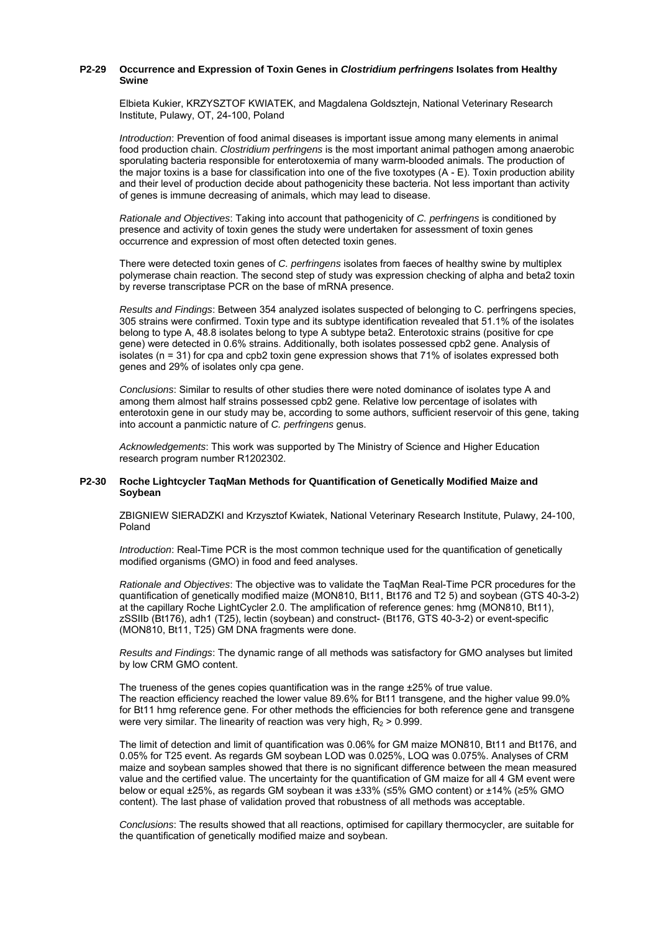## **P2-29 Occurrence and Expression of Toxin Genes in** *Clostridium perfringens* **Isolates from Healthy Swine**

Elbieta Kukier, KRZYSZTOF KWIATEK, and Magdalena Goldsztejn, National Veterinary Research Institute, Pulawy, OT, 24-100, Poland

*Introduction*: Prevention of food animal diseases is important issue among many elements in animal food production chain. *Clostridium perfringens* is the most important animal pathogen among anaerobic sporulating bacteria responsible for enterotoxemia of many warm-blooded animals. The production of the major toxins is a base for classification into one of the five toxotypes (A - E). Toxin production ability and their level of production decide about pathogenicity these bacteria. Not less important than activity of genes is immune decreasing of animals, which may lead to disease.

*Rationale and Objectives*: Taking into account that pathogenicity of *C. perfringens* is conditioned by presence and activity of toxin genes the study were undertaken for assessment of toxin genes occurrence and expression of most often detected toxin genes.

There were detected toxin genes of *C. perfringens* isolates from faeces of healthy swine by multiplex polymerase chain reaction. The second step of study was expression checking of alpha and beta2 toxin by reverse transcriptase PCR on the base of mRNA presence.

*Results and Findings*: Between 354 analyzed isolates suspected of belonging to C. perfringens species, 305 strains were confirmed. Toxin type and its subtype identification revealed that 51.1% of the isolates belong to type A, 48.8 isolates belong to type A subtype beta2. Enterotoxic strains (positive for cpe gene) were detected in 0.6% strains. Additionally, both isolates possessed cpb2 gene. Analysis of isolates (n = 31) for cpa and cpb2 toxin gene expression shows that 71% of isolates expressed both genes and 29% of isolates only cpa gene.

*Conclusions*: Similar to results of other studies there were noted dominance of isolates type A and among them almost half strains possessed cpb2 gene. Relative low percentage of isolates with enterotoxin gene in our study may be, according to some authors, sufficient reservoir of this gene, taking into account a panmictic nature of *C. perfringens* genus.

*Acknowledgements*: This work was supported by The Ministry of Science and Higher Education research program number R1202302.

#### **P2-30 Roche Lightcycler TaqMan Methods for Quantification of Genetically Modified Maize and Soybean**

ZBIGNIEW SIERADZKI and Krzysztof Kwiatek, National Veterinary Research Institute, Pulawy, 24-100, Poland

*Introduction*: Real-Time PCR is the most common technique used for the quantification of genetically modified organisms (GMO) in food and feed analyses.

*Rationale and Objectives*: The objective was to validate the TaqMan Real-Time PCR procedures for the quantification of genetically modified maize (MON810, Bt11, Bt176 and T2 5) and soybean (GTS 40-3-2) at the capillary Roche LightCycler 2.0. The amplification of reference genes: hmg (MON810, Bt11), zSSIIb (Bt176), adh1 (T25), lectin (soybean) and construct- (Bt176, GTS 40-3-2) or event-specific (MON810, Bt11, T25) GM DNA fragments were done.

*Results and Findings*: The dynamic range of all methods was satisfactory for GMO analyses but limited by low CRM GMO content.

The trueness of the genes copies quantification was in the range ±25% of true value. The reaction efficiency reached the lower value 89.6% for Bt11 transgene, and the higher value 99.0% for Bt11 hmg reference gene. For other methods the efficiencies for both reference gene and transgene were very similar. The linearity of reaction was very high,  $R_2 > 0.999$ .

The limit of detection and limit of quantification was 0.06% for GM maize MON810, Bt11 and Bt176, and 0.05% for T25 event. As regards GM soybean LOD was 0.025%, LOQ was 0.075%. Analyses of CRM maize and soybean samples showed that there is no significant difference between the mean measured value and the certified value. The uncertainty for the quantification of GM maize for all 4 GM event were below or equal ±25%, as regards GM soybean it was ±33% (≤5% GMO content) or ±14% (≥5% GMO content). The last phase of validation proved that robustness of all methods was acceptable.

*Conclusions*: The results showed that all reactions, optimised for capillary thermocycler, are suitable for the quantification of genetically modified maize and soybean.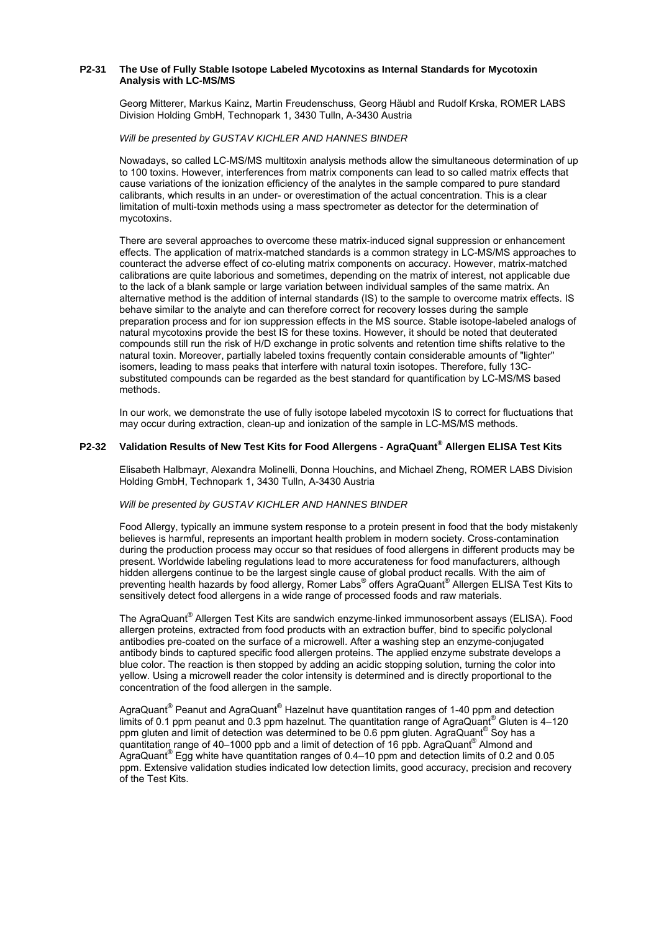## **P2-31 The Use of Fully Stable Isotope Labeled Mycotoxins as Internal Standards for Mycotoxin Analysis with LC-MS/MS**

Georg Mitterer, Markus Kainz, Martin Freudenschuss, Georg Häubl and Rudolf Krska, ROMER LABS Division Holding GmbH, Technopark 1, 3430 Tulln, A-3430 Austria

#### *Will be presented by GUSTAV KICHLER AND HANNES BINDER*

Nowadays, so called LC-MS/MS multitoxin analysis methods allow the simultaneous determination of up to 100 toxins. However, interferences from matrix components can lead to so called matrix effects that cause variations of the ionization efficiency of the analytes in the sample compared to pure standard calibrants, which results in an under- or overestimation of the actual concentration. This is a clear limitation of multi-toxin methods using a mass spectrometer as detector for the determination of mycotoxins.

There are several approaches to overcome these matrix-induced signal suppression or enhancement effects. The application of matrix-matched standards is a common strategy in LC-MS/MS approaches to counteract the adverse effect of co-eluting matrix components on accuracy. However, matrix-matched calibrations are quite laborious and sometimes, depending on the matrix of interest, not applicable due to the lack of a blank sample or large variation between individual samples of the same matrix. An alternative method is the addition of internal standards (IS) to the sample to overcome matrix effects. IS behave similar to the analyte and can therefore correct for recovery losses during the sample preparation process and for ion suppression effects in the MS source. Stable isotope-labeled analogs of natural mycotoxins provide the best IS for these toxins. However, it should be noted that deuterated compounds still run the risk of H/D exchange in protic solvents and retention time shifts relative to the natural toxin. Moreover, partially labeled toxins frequently contain considerable amounts of "lighter" isomers, leading to mass peaks that interfere with natural toxin isotopes. Therefore, fully 13Csubstituted compounds can be regarded as the best standard for quantification by LC-MS/MS based methods.

In our work, we demonstrate the use of fully isotope labeled mycotoxin IS to correct for fluctuations that may occur during extraction, clean-up and ionization of the sample in LC-MS/MS methods.

# **P2-32 Validation Results of New Test Kits for Food Allergens - AgraQuant® Allergen ELISA Test Kits**

Elisabeth Halbmayr, Alexandra Molinelli, Donna Houchins, and Michael Zheng, ROMER LABS Division Holding GmbH, Technopark 1, 3430 Tulln, A-3430 Austria

#### *Will be presented by GUSTAV KICHLER AND HANNES BINDER*

Food Allergy, typically an immune system response to a protein present in food that the body mistakenly believes is harmful, represents an important health problem in modern society. Cross-contamination during the production process may occur so that residues of food allergens in different products may be present. Worldwide labeling regulations lead to more accurateness for food manufacturers, although hidden allergens continue to be the largest single cause of global product recalls. With the aim of preventing health hazards by food allergy, Romer Labs® offers AgraQuant® Allergen ELISA Test Kits to sensitively detect food allergens in a wide range of processed foods and raw materials.

The AgraQuant® Allergen Test Kits are sandwich enzyme-linked immunosorbent assays (ELISA). Food allergen proteins, extracted from food products with an extraction buffer, bind to specific polyclonal antibodies pre-coated on the surface of a microwell. After a washing step an enzyme-conjugated antibody binds to captured specific food allergen proteins. The applied enzyme substrate develops a blue color. The reaction is then stopped by adding an acidic stopping solution, turning the color into yellow. Using a microwell reader the color intensity is determined and is directly proportional to the concentration of the food allergen in the sample.

AgraQuant<sup>®</sup> Peanut and AgraQuant<sup>®</sup> Hazelnut have quantitation ranges of 1-40 ppm and detection limits of 0.1 ppm peanut and 0.3 ppm hazelnut. The quantitation range of AgraQuant® Gluten is 4-120 ppm gluten and limit of detection was determined to be 0.6 ppm gluten. AgraQuant® Soy has a quantitation range of 40–1000 ppb and a limit of detection of 16 ppb. AgraQuant® Almond and AgraQuant® Egg white have quantitation ranges of 0.4–10 ppm and detection limits of 0.2 and 0.05 ppm. Extensive validation studies indicated low detection limits, good accuracy, precision and recovery of the Test Kits.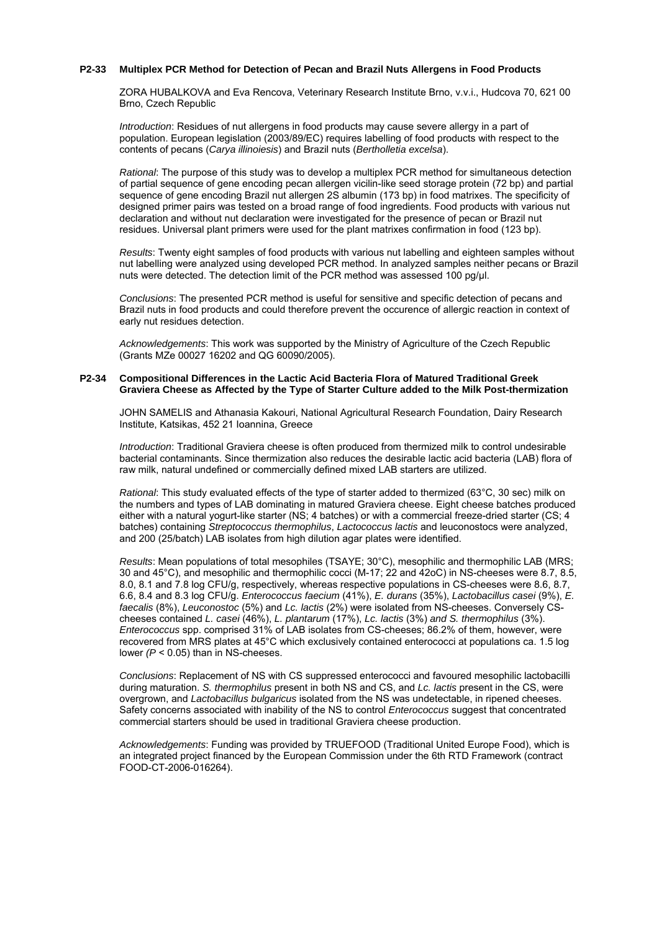# **P2-33 Multiplex PCR Method for Detection of Pecan and Brazil Nuts Allergens in Food Products**

ZORA HUBALKOVA and Eva Rencova, Veterinary Research Institute Brno, v.v.i., Hudcova 70, 621 00 Brno, Czech Republic

*Introduction*: Residues of nut allergens in food products may cause severe allergy in a part of population. European legislation (2003/89/EC) requires labelling of food products with respect to the contents of pecans (*Carya illinoiesis*) and Brazil nuts (*Bertholletia excelsa*).

*Rational*: The purpose of this study was to develop a multiplex PCR method for simultaneous detection of partial sequence of gene encoding pecan allergen vicilin-like seed storage protein (72 bp) and partial sequence of gene encoding Brazil nut allergen 2S albumin (173 bp) in food matrixes. The specificity of designed primer pairs was tested on a broad range of food ingredients. Food products with various nut declaration and without nut declaration were investigated for the presence of pecan or Brazil nut residues. Universal plant primers were used for the plant matrixes confirmation in food (123 bp).

*Results*: Twenty eight samples of food products with various nut labelling and eighteen samples without nut labelling were analyzed using developed PCR method. In analyzed samples neither pecans or Brazil nuts were detected. The detection limit of the PCR method was assessed 100 pg/µl.

*Conclusions*: The presented PCR method is useful for sensitive and specific detection of pecans and Brazil nuts in food products and could therefore prevent the occurence of allergic reaction in context of early nut residues detection.

*Acknowledgements*: This work was supported by the Ministry of Agriculture of the Czech Republic (Grants MZe 00027 16202 and QG 60090/2005).

#### **P2-34 Compositional Differences in the Lactic Acid Bacteria Flora of Matured Traditional Greek Graviera Cheese as Affected by the Type of Starter Culture added to the Milk Post-thermization**

JOHN SAMELIS and Athanasia Kakouri, National Agricultural Research Foundation, Dairy Research Institute, Katsikas, 452 21 Ioannina, Greece

*Introduction*: Traditional Graviera cheese is often produced from thermized milk to control undesirable bacterial contaminants. Since thermization also reduces the desirable lactic acid bacteria (LAB) flora of raw milk, natural undefined or commercially defined mixed LAB starters are utilized.

*Rational*: This study evaluated effects of the type of starter added to thermized (63°C, 30 sec) milk on the numbers and types of LAB dominating in matured Graviera cheese. Eight cheese batches produced either with a natural yogurt-like starter (NS; 4 batches) or with a commercial freeze-dried starter (CS; 4 batches) containing *Streptococcus thermophilus*, *Lactococcus lactis* and leuconostocs were analyzed, and 200 (25/batch) LAB isolates from high dilution agar plates were identified.

*Results*: Mean populations of total mesophiles (TSAYE; 30°C), mesophilic and thermophilic LAB (MRS; 30 and 45°C), and mesophilic and thermophilic cocci (M-17; 22 and 42oC) in NS-cheeses were 8.7, 8.5, 8.0, 8.1 and 7.8 log CFU/g, respectively, whereas respective populations in CS-cheeses were 8.6, 8.7, 6.6, 8.4 and 8.3 log CFU/g. *Enterococcus faecium* (41%), *E. durans* (35%), *Lactobacillus casei* (9%), *E. faecalis* (8%), *Leuconostoc* (5%) and *Lc. lactis* (2%) were isolated from NS-cheeses. Conversely CScheeses contained *L. casei* (46%), *L. plantarum* (17%), *Lc. lactis* (3%) *and S. thermophilus* (3%). *Enterococcus* spp. comprised 31% of LAB isolates from CS-cheeses; 86.2% of them, however, were recovered from MRS plates at 45°C which exclusively contained enterococci at populations ca. 1.5 log lower *(P* < 0.05) than in NS-cheeses.

*Conclusions*: Replacement of NS with CS suppressed enterococci and favoured mesophilic lactobacilli during maturation. *S. thermophilus* present in both NS and CS, and *Lc. lactis* present in the CS, were overgrown, and *Lactobacillus bulgaricus* isolated from the NS was undetectable, in ripened cheeses. Safety concerns associated with inability of the NS to control *Enterococcus* suggest that concentrated commercial starters should be used in traditional Graviera cheese production.

*Acknowledgements*: Funding was provided by TRUEFOOD (Traditional United Europe Food), which is an integrated project financed by the European Commission under the 6th RTD Framework (contract FOOD-CT-2006-016264).